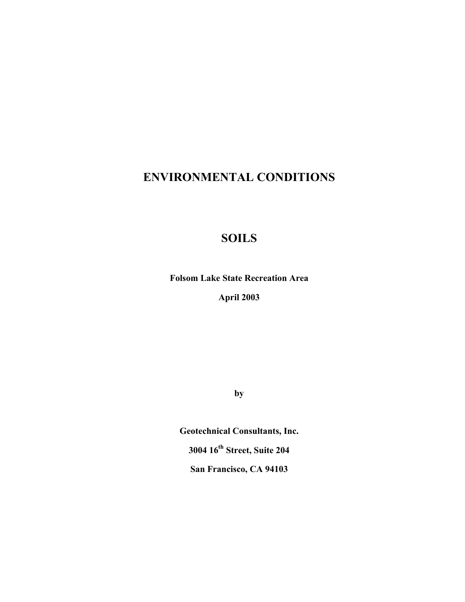# **ENVIRONMENTAL CONDITIONS**

# **SOILS**

**Folsom Lake State Recreation Area April 2003**

**by**

**Geotechnical Consultants, Inc. 3004 16th Street, Suite 204 San Francisco, CA 94103**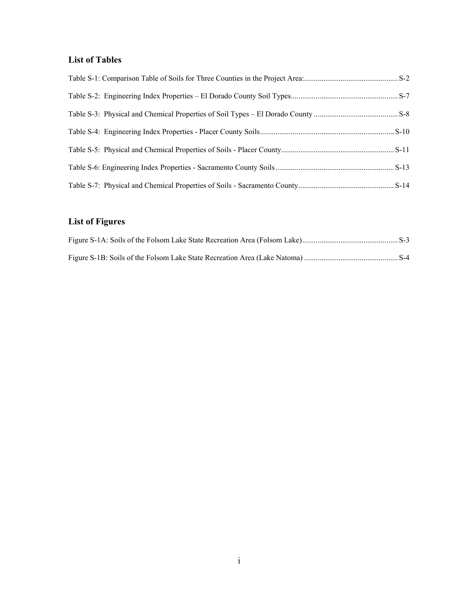# **List of Tables**

# **List of Figures**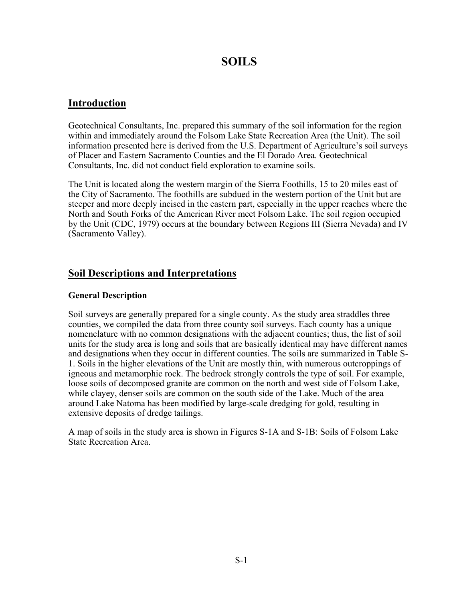# **SOILS**

# **Introduction**

Geotechnical Consultants, Inc. prepared this summary of the soil information for the region within and immediately around the Folsom Lake State Recreation Area (the Unit). The soil information presented here is derived from the U.S. Department of Agriculture's soil surveys of Placer and Eastern Sacramento Counties and the El Dorado Area. Geotechnical Consultants, Inc. did not conduct field exploration to examine soils.

The Unit is located along the western margin of the Sierra Foothills, 15 to 20 miles east of the City of Sacramento. The foothills are subdued in the western portion of the Unit but are steeper and more deeply incised in the eastern part, especially in the upper reaches where the North and South Forks of the American River meet Folsom Lake. The soil region occupied by the Unit (CDC, 1979) occurs at the boundary between Regions III (Sierra Nevada) and IV (Sacramento Valley).

# **Soil Descriptions and Interpretations**

## **General Description**

Soil surveys are generally prepared for a single county. As the study area straddles three counties, we compiled the data from three county soil surveys. Each county has a unique nomenclature with no common designations with the adjacent counties; thus, the list of soil units for the study area is long and soils that are basically identical may have different names and designations when they occur in different counties. The soils are summarized in Table S-1. Soils in the higher elevations of the Unit are mostly thin, with numerous outcroppings of igneous and metamorphic rock. The bedrock strongly controls the type of soil. For example, loose soils of decomposed granite are common on the north and west side of Folsom Lake, while clayey, denser soils are common on the south side of the Lake. Much of the area around Lake Natoma has been modified by large-scale dredging for gold, resulting in extensive deposits of dredge tailings.

A map of soils in the study area is shown in Figures S-1A and S-1B: Soils of Folsom Lake State Recreation Area.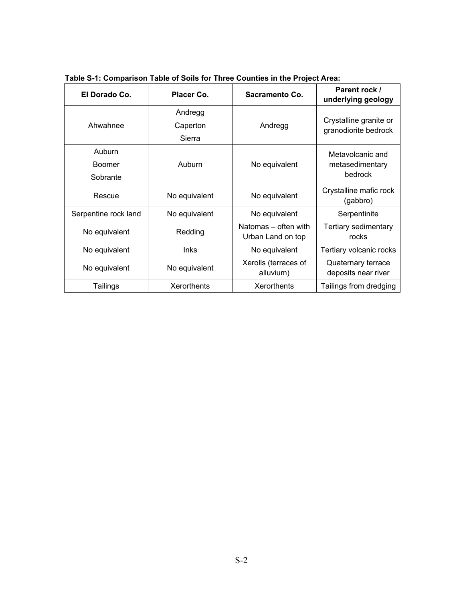| El Dorado Co.                       | Placer Co.                    | Sacramento Co.                            | Parent rock /<br>underlying geology            |
|-------------------------------------|-------------------------------|-------------------------------------------|------------------------------------------------|
| Ahwahnee                            | Andregg<br>Caperton<br>Sierra | Andregg                                   | Crystalline granite or<br>granodiorite bedrock |
| Auburn<br><b>Boomer</b><br>Sobrante | Auburn                        | No equivalent                             | Metavolcanic and<br>metasedimentary<br>bedrock |
| Rescue                              | No equivalent                 | No equivalent                             | Crystalline mafic rock<br>(gabbro)             |
| Serpentine rock land                | No equivalent                 | No equivalent                             | Serpentinite                                   |
| No equivalent                       | Redding                       | Natomas – often with<br>Urban Land on top | Tertiary sedimentary<br>rocks                  |
| No equivalent                       | <b>Inks</b>                   | No equivalent                             | Tertiary volcanic rocks                        |
| No equivalent                       | No equivalent                 | Xerolls (terraces of<br>alluvium)         | Quaternary terrace<br>deposits near river      |
| Tailings                            | Xerorthents                   | <b>Xerorthents</b>                        | Tailings from dredging                         |

**Table S-1: Comparison Table of Soils for Three Counties in the Project Area:**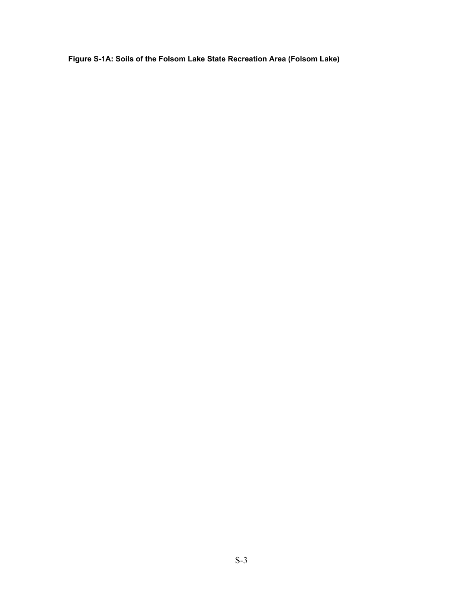**Figure S-1A: Soils of the Folsom Lake State Recreation Area (Folsom Lake)**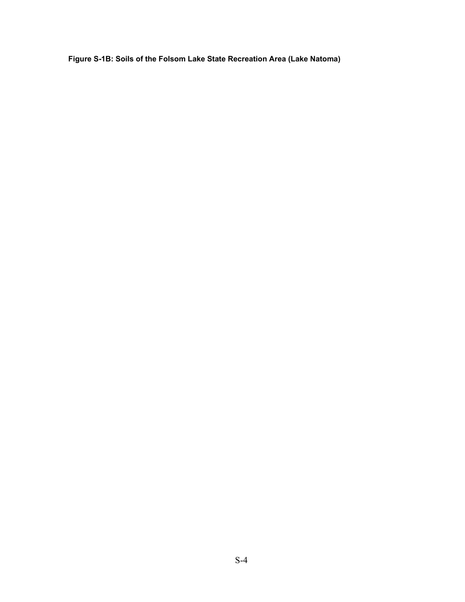**Figure S-1B: Soils of the Folsom Lake State Recreation Area (Lake Natoma)**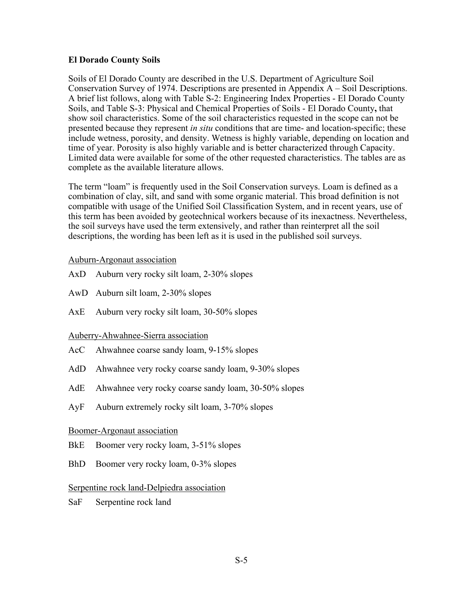#### **El Dorado County Soils**

Soils of El Dorado County are described in the U.S. Department of Agriculture Soil Conservation Survey of 1974. Descriptions are presented in Appendix A – Soil Descriptions. A brief list follows, along with Table S-2: Engineering Index Properties - El Dorado County Soils, and Table S-3: Physical and Chemical Properties of Soils - El Dorado County**,** that show soil characteristics. Some of the soil characteristics requested in the scope can not be presented because they represent *in situ* conditions that are time- and location-specific; these include wetness, porosity, and density. Wetness is highly variable, depending on location and time of year. Porosity is also highly variable and is better characterized through Capacity. Limited data were available for some of the other requested characteristics. The tables are as complete as the available literature allows.

The term "loam" is frequently used in the Soil Conservation surveys. Loam is defined as a combination of clay, silt, and sand with some organic material. This broad definition is not compatible with usage of the Unified Soil Classification System, and in recent years, use of this term has been avoided by geotechnical workers because of its inexactness. Nevertheless, the soil surveys have used the term extensively, and rather than reinterpret all the soil descriptions, the wording has been left as it is used in the published soil surveys.

#### Auburn-Argonaut association

- AxD Auburn very rocky silt loam, 2-30% slopes
- AwD Auburn silt loam, 2-30% slopes
- AxE Auburn very rocky silt loam, 30-50% slopes

### Auberry-Ahwahnee-Sierra association

- AcC Ahwahnee coarse sandy loam, 9-15% slopes
- AdD Ahwahnee very rocky coarse sandy loam, 9-30% slopes
- AdE Ahwahnee very rocky coarse sandy loam, 30-50% slopes
- AyF Auburn extremely rocky silt loam, 3-70% slopes

### Boomer-Argonaut association

- BkE Boomer very rocky loam, 3-51% slopes
- BhD Boomer very rocky loam, 0-3% slopes

### Serpentine rock land-Delpiedra association

SaF Serpentine rock land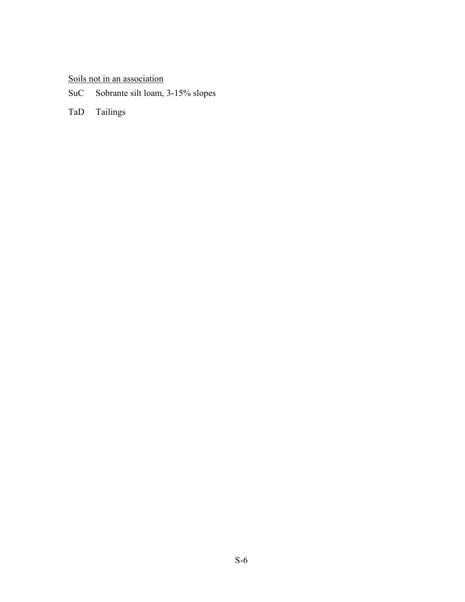# Soils not in an association

SuC Sobrante silt loam, 3-15% slopes

TaD Tailings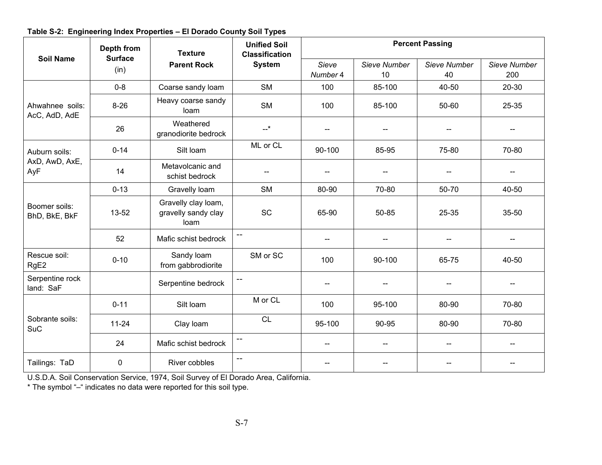| <b>Soil Name</b>                       | Depth from<br><b>Surface</b> | <b>Texture</b>                                     | . .<br><b>Unified Soil</b><br><b>Classification</b> | <b>Percent Passing</b>   |                    |                          |                     |  |
|----------------------------------------|------------------------------|----------------------------------------------------|-----------------------------------------------------|--------------------------|--------------------|--------------------------|---------------------|--|
|                                        | (in)                         | <b>Parent Rock</b>                                 | <b>System</b>                                       | Sieve<br>Number 4        | Sieve Number<br>10 | Sieve Number<br>40       | Sieve Number<br>200 |  |
|                                        | $0 - 8$                      | Coarse sandy loam                                  | <b>SM</b>                                           | 100                      | 85-100             | 40-50                    | 20-30               |  |
| Ahwahnee soils:<br>AcC, AdD, AdE       | $8 - 26$                     | Heavy coarse sandy<br>loam                         | <b>SM</b>                                           | 100                      | 85-100             | 50-60                    | 25-35               |  |
|                                        | 26                           | Weathered<br>granodiorite bedrock                  | $-+$                                                | $\overline{a}$           |                    |                          |                     |  |
| Auburn soils:<br>AxD, AwD, AxE,<br>AyF | $0 - 14$                     | Silt loam                                          | ML or CL                                            | 90-100                   | 85-95              | 75-80                    | 70-80               |  |
|                                        | 14                           | Metavolcanic and<br>schist bedrock                 | $\overline{\phantom{a}}$                            | $-$                      |                    |                          | --                  |  |
|                                        | $0 - 13$                     | Gravelly loam                                      | <b>SM</b>                                           | 80-90                    | 70-80              | 50-70                    | 40-50               |  |
| Boomer soils:<br>BhD, BkE, BkF         | 13-52                        | Gravelly clay loam,<br>gravelly sandy clay<br>loam | SC                                                  | 65-90                    | 50-85              | 25-35                    | 35-50               |  |
|                                        | 52                           | Mafic schist bedrock                               | $\overline{\phantom{a}}$                            | $\overline{\phantom{a}}$ |                    | $-$                      | --                  |  |
| Rescue soil:<br>RgE <sub>2</sub>       | $0 - 10$                     | Sandy loam<br>from gabbrodiorite                   | SM or SC                                            | 100                      | 90-100             | 65-75                    | 40-50               |  |
| Serpentine rock<br>land: SaF           |                              | Serpentine bedrock                                 | $\overline{\phantom{a}}$                            | $-$                      |                    |                          |                     |  |
|                                        | $0 - 11$                     | Silt loam                                          | M or CL                                             | 100                      | 95-100             | 80-90                    | 70-80               |  |
| Sobrante soils:<br><b>SuC</b>          | $11 - 24$                    | Clay loam                                          | <b>CL</b>                                           | 95-100                   | 90-95              | 80-90                    | 70-80               |  |
|                                        | 24                           | Mafic schist bedrock                               | $\overline{\phantom{a}}$                            | $\overline{\phantom{a}}$ | $-$                | $\overline{\phantom{m}}$ | $-$                 |  |
| Tailings: TaD                          | 0                            | River cobbles                                      | $\overline{a}$                                      | $-$                      |                    |                          |                     |  |

**Table S-2: Engineering Index Properties – El Dorado County Soil Types**

U.S.D.A. Soil Conservation Service, 1974, Soil Survey of El Dorado Area, California.

\* The symbol "–" indicates no data were reported for this soil type.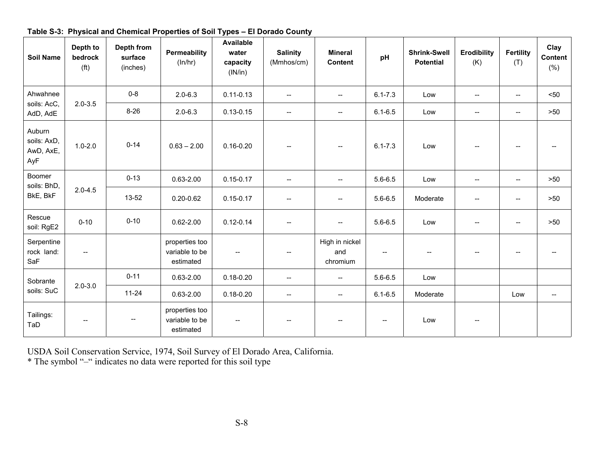| <b>Soil Name</b>                          | Depth to<br>bedrock<br>(f <sup>t</sup> ) | Depth from<br>surface<br>(inches) | Permeability<br>(ln/hr)                       | <b>Available</b><br>water<br>capacity<br>(IN/in) | <b>Salinity</b><br>(Mmhos/cm)       | <b>Mineral</b><br><b>Content</b>  | pH                                    | <b>Shrink-Swell</b><br><b>Potential</b> | <b>Erodibility</b><br>(K) | <b>Fertility</b><br>(T)  | Clay<br>Content<br>(% )               |
|-------------------------------------------|------------------------------------------|-----------------------------------|-----------------------------------------------|--------------------------------------------------|-------------------------------------|-----------------------------------|---------------------------------------|-----------------------------------------|---------------------------|--------------------------|---------------------------------------|
| Ahwahnee                                  |                                          | $0 - 8$                           | $2.0 - 6.3$                                   | $0.11 - 0.13$                                    | $\overline{a}$                      | $\overline{\phantom{a}}$          | $6.1 - 7.3$                           | Low                                     | $\overline{\phantom{a}}$  | $\overline{\phantom{a}}$ | $50$                                  |
| soils: AcC,<br>AdD, AdE                   | $2.0 - 3.5$                              | $8 - 26$                          | $2.0 - 6.3$                                   | $0.13 - 0.15$                                    | $\overline{\phantom{a}}$            | $\overline{a}$                    | $6.1 - 6.5$                           | Low                                     | $\overline{\phantom{m}}$  | $\overline{\phantom{a}}$ | >50                                   |
| Auburn<br>soils: AxD,<br>AwD, AxE,<br>AyF | $1.0 - 2.0$                              | $0 - 14$                          | $0.63 - 2.00$                                 | $0.16 - 0.20$                                    |                                     | $\overline{\phantom{a}}$          | $6.1 - 7.3$                           | Low                                     |                           | $\overline{\phantom{a}}$ |                                       |
| Boomer<br>soils: BhD,                     |                                          | $0 - 13$                          | $0.63 - 2.00$                                 | $0.15 - 0.17$                                    | $\overline{\phantom{a}}$            | --                                | $5.6 - 6.5$                           | Low                                     | $\overline{\phantom{a}}$  | $\overline{\phantom{a}}$ | >50                                   |
| BkE, BkF                                  | $2.0 - 4.5$                              | 13-52                             | $0.20 - 0.62$                                 | $0.15 - 0.17$                                    | $\overline{\phantom{a}}$            | $\overline{\phantom{a}}$          | $5.6 - 6.5$                           | Moderate                                | $\overline{\phantom{a}}$  | $\overline{\phantom{a}}$ | >50                                   |
| Rescue<br>soil: RgE2                      | $0 - 10$                                 | $0 - 10$                          | $0.62 - 2.00$                                 | $0.12 - 0.14$                                    | $\overline{\phantom{a}}$            | --                                | $5.6 - 6.5$                           | Low                                     |                           | $\overline{\phantom{a}}$ | $>50$                                 |
| Serpentine<br>rock land:<br>SaF           | $\overline{\phantom{a}}$                 |                                   | properties too<br>variable to be<br>estimated | $\overline{\phantom{a}}$                         | $\hspace{0.05cm}$ $\hspace{0.05cm}$ | High in nickel<br>and<br>chromium | $\hspace{0.05cm}$ – $\hspace{0.05cm}$ | $\overline{\phantom{m}}$                | $-$                       | $\qquad \qquad -$        | $\hspace{0.05cm}$ – $\hspace{0.05cm}$ |
| Sobrante                                  | $2.0 - 3.0$                              | $0 - 11$                          | $0.63 - 2.00$                                 | $0.18 - 0.20$                                    | $\overline{\phantom{a}}$            | $\overline{a}$                    | $5.6 - 6.5$                           | Low                                     |                           |                          |                                       |
| soils: SuC                                |                                          | $11 - 24$                         | $0.63 - 2.00$                                 | $0.18 - 0.20$                                    | $\overline{\phantom{a}}$            | $\overline{\phantom{a}}$          | $6.1 - 6.5$                           | Moderate                                |                           | Low                      | $\overline{\phantom{a}}$              |
| Tailings:<br>TaD                          | $\overline{\phantom{a}}$                 | $\overline{\phantom{a}}$          | properties too<br>variable to be<br>estimated | $\overline{\phantom{a}}$                         | $\overline{\phantom{a}}$            | --                                | $\overline{\phantom{a}}$              | Low                                     | $-\!$                     |                          |                                       |

**Table S-3: Physical and Chemical Properties of Soil Types – El Dorado County**

USDA Soil Conservation Service, 1974, Soil Survey of El Dorado Area, California.

\* The symbol "–" indicates no data were reported for this soil type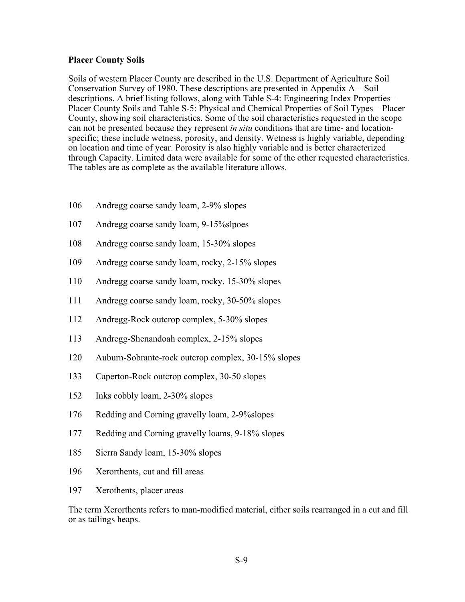#### **Placer County Soils**

Soils of western Placer County are described in the U.S. Department of Agriculture Soil Conservation Survey of 1980. These descriptions are presented in Appendix A – Soil descriptions. A brief listing follows, along with Table S-4: Engineering Index Properties – Placer County Soils and Table S-5: Physical and Chemical Properties of Soil Types – Placer County, showing soil characteristics. Some of the soil characteristics requested in the scope can not be presented because they represent *in situ* conditions that are time- and locationspecific; these include wetness, porosity, and density. Wetness is highly variable, depending on location and time of year. Porosity is also highly variable and is better characterized through Capacity. Limited data were available for some of the other requested characteristics. The tables are as complete as the available literature allows.

- 106 Andregg coarse sandy loam, 2-9% slopes
- 107 Andregg coarse sandy loam, 9-15%slpoes
- 108 Andregg coarse sandy loam, 15-30% slopes
- 109 Andregg coarse sandy loam, rocky, 2-15% slopes
- 110 Andregg coarse sandy loam, rocky. 15-30% slopes
- 111 Andregg coarse sandy loam, rocky, 30-50% slopes
- 112 Andregg-Rock outcrop complex, 5-30% slopes
- 113 Andregg-Shenandoah complex, 2-15% slopes
- 120 Auburn-Sobrante-rock outcrop complex, 30-15% slopes
- 133 Caperton-Rock outcrop complex, 30-50 slopes
- 152 Inks cobbly loam, 2-30% slopes
- 176 Redding and Corning gravelly loam, 2-9%slopes
- 177 Redding and Corning gravelly loams, 9-18% slopes
- 185 Sierra Sandy loam, 15-30% slopes
- 196 Xerorthents, cut and fill areas
- 197 Xerothents, placer areas

The term Xerorthents refers to man-modified material, either soils rearranged in a cut and fill or as tailings heaps.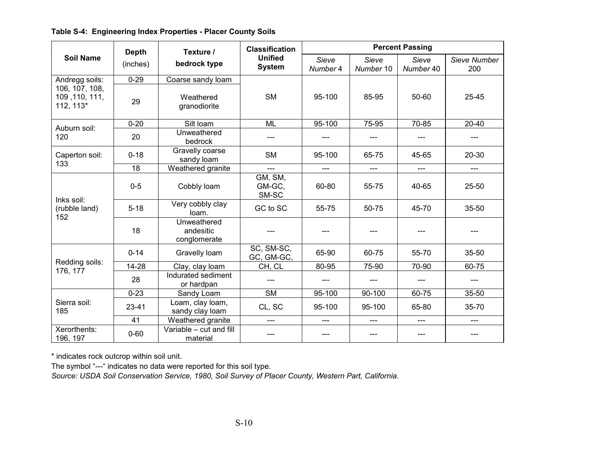|                                               | <b>Depth</b> | Texture /                                | <b>Classification</b>           | <b>Percent Passing</b> |                    |                    |                     |  |  |
|-----------------------------------------------|--------------|------------------------------------------|---------------------------------|------------------------|--------------------|--------------------|---------------------|--|--|
| <b>Soil Name</b>                              | (inches)     | bedrock type                             | <b>Unified</b><br><b>System</b> | Sieve<br>Number 4      | Sieve<br>Number 10 | Sieve<br>Number 40 | Sieve Number<br>200 |  |  |
| Andregg soils:                                | $0 - 29$     | Coarse sandy loam                        |                                 |                        |                    |                    |                     |  |  |
| 106, 107, 108,<br>109, 110, 111,<br>112, 113* | 29           | Weathered<br>granodiorite                | <b>SM</b>                       | 95-100                 | 85-95              | 50-60              | 25-45               |  |  |
| Auburn soil:                                  | $0 - 20$     | Silt Ioam                                | <b>ML</b>                       | 95-100                 | 75-95              | 70-85              | 20-40               |  |  |
| 120                                           | 20           | Unweathered<br>bedrock                   |                                 |                        | ---                | $---$              |                     |  |  |
| Caperton soil:                                | $0 - 18$     | Gravelly coarse<br>sandy loam            | <b>SM</b>                       | 95-100                 | 65-75              | 45-65              | 20-30               |  |  |
| 133                                           | 18           | Weathered granite                        | $---$                           | $---$                  | ---                | $---$              | ---                 |  |  |
|                                               | $0-5$        | Cobbly loam                              | GM, SM,<br>GM-GC,<br>SM-SC      | 60-80                  | 55-75              | 40-65              | 25-50               |  |  |
| Inks soil:<br>(rubble land)                   | $5 - 18$     | Very cobbly clay<br>loam.                | GC to SC                        | 55-75                  | 50-75              | 45-70              | 35-50               |  |  |
| 152                                           | 18           | Unweathered<br>andesitic<br>conglomerate |                                 |                        | ---                | ---                |                     |  |  |
|                                               | $0 - 14$     | Gravelly loam                            | SC, SM-SC,<br>GC, GM-GC,        | 65-90                  | 60-75              | 55-70              | $35 - 50$           |  |  |
| Redding soils:<br>176, 177                    | 14-28        | Clay, clay loam                          | CH, CL                          | 80-95                  | 75-90              | 70-90              | 60-75               |  |  |
|                                               | 28           | Indurated sediment<br>or hardpan         |                                 | ---                    | ---                | ---                | ---                 |  |  |
|                                               | $0 - 23$     | Sandy Loam                               | <b>SM</b>                       | 95-100                 | 90-100             | 60-75              | 35-50               |  |  |
| Sierra soil:<br>185                           | $23 - 41$    | Loam, clay loam,<br>sandy clay loam      | CL, SC                          | 95-100                 | 95-100             | 65-80              | 35-70               |  |  |
|                                               | 41           | Weathered granite                        | $---$                           | ---                    | ---                | ---                | ---                 |  |  |
| Xerorthents:<br>196, 197                      | $0 - 60$     | Variable - cut and fill<br>material      |                                 | ---                    | ---                | $---$              | ---                 |  |  |

## **Table S-4: Engineering Index Properties - Placer County Soils**

\* indicates rock outcrop within soil unit.

The symbol "---" indicates no data were reported for this soil type.

*Source: USDA Soil Conservation Service, 1980, Soil Survey of Placer County, Western Part, California.*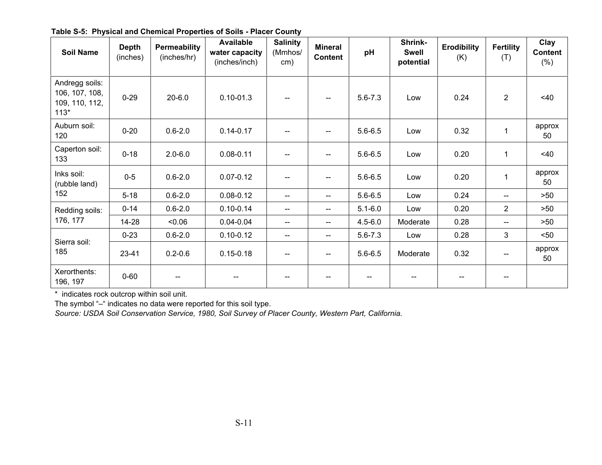| <b>Soil Name</b>                                             | <b>Depth</b><br>(inches) | <b>Permeability</b><br>(inches/hr) | <b>Available</b><br>water capacity<br>(inches/inch) | <b>Salinity</b><br>(Mmhos/<br>cm) | <b>Mineral</b><br><b>Content</b> | pH          | Shrink-<br><b>Swell</b><br>potential | <b>Erodibility</b><br>(K) | <b>Fertility</b><br>(T)               | Clay<br><b>Content</b><br>(% ) |
|--------------------------------------------------------------|--------------------------|------------------------------------|-----------------------------------------------------|-----------------------------------|----------------------------------|-------------|--------------------------------------|---------------------------|---------------------------------------|--------------------------------|
| Andregg soils:<br>106, 107, 108,<br>109, 110, 112,<br>$113*$ | $0 - 29$                 | $20 - 6.0$                         | $0.10 - 01.3$                                       |                                   |                                  | $5.6 - 7.3$ | Low                                  | 0.24                      | $\overline{2}$                        | $<$ 40                         |
| Auburn soil:<br>120                                          | $0 - 20$                 | $0.6 - 2.0$                        | $0.14 - 0.17$                                       |                                   |                                  | $5.6 - 6.5$ | Low                                  | 0.32                      | $\mathbf{1}$                          | approx<br>50                   |
| Caperton soil:<br>133                                        | $0 - 18$                 | $2.0 - 6.0$                        | $0.08 - 0.11$                                       | $\overline{\phantom{a}}$          |                                  | $5.6 - 6.5$ | Low                                  | 0.20                      | 1                                     | $<$ 40                         |
| Inks soil:<br>(rubble land)                                  | $0 - 5$                  | $0.6 - 2.0$                        | $0.07 - 0.12$                                       |                                   |                                  | $5.6 - 6.5$ | Low                                  | 0.20                      | $\mathbf 1$                           | approx<br>50                   |
| 152                                                          | $5 - 18$                 | $0.6 - 2.0$                        | $0.08 - 0.12$                                       | $\overline{\phantom{m}}$          | --                               | $5.6 - 6.5$ | Low                                  | 0.24                      | $\overline{\phantom{a}}$              | >50                            |
| Redding soils:                                               | $0 - 14$                 | $0.6 - 2.0$                        | $0.10 - 0.14$                                       | $\overline{\phantom{a}}$          | --                               | $5.1 - 6.0$ | Low                                  | 0.20                      | $\overline{2}$                        | $>50$                          |
| 176, 177                                                     | $14 - 28$                | $-0.06$                            | $0.04 - 0.04$                                       | $\overline{\phantom{a}}$          | --                               | $4.5 - 6.0$ | Moderate                             | 0.28                      | $\overline{\phantom{a}}$              | >50                            |
| Sierra soil:                                                 | $0 - 23$                 | $0.6 - 2.0$                        | $0.10 - 0.12$                                       | $\overline{\phantom{a}}$          | --                               | $5.6 - 7.3$ | Low                                  | 0.28                      | 3                                     | $50$                           |
| 185                                                          | $23 - 41$                | $0.2 - 0.6$                        | $0.15 - 0.18$                                       | $\hspace{0.05cm}$                 | --                               | $5.6 - 6.5$ | Moderate                             | 0.32                      | $\hspace{0.05cm}$ – $\hspace{0.05cm}$ | approx<br>50                   |
| Xerorthents:<br>196, 197                                     | $0 - 60$                 |                                    |                                                     |                                   |                                  |             |                                      |                           |                                       |                                |

**Table S-5: Physical and Chemical Properties of Soils - Placer County**

\* indicates rock outcrop within soil unit.

The symbol "–" indicates no data were reported for this soil type.

*Source: USDA Soil Conservation Service, 1980, Soil Survey of Placer County, Western Part, California.*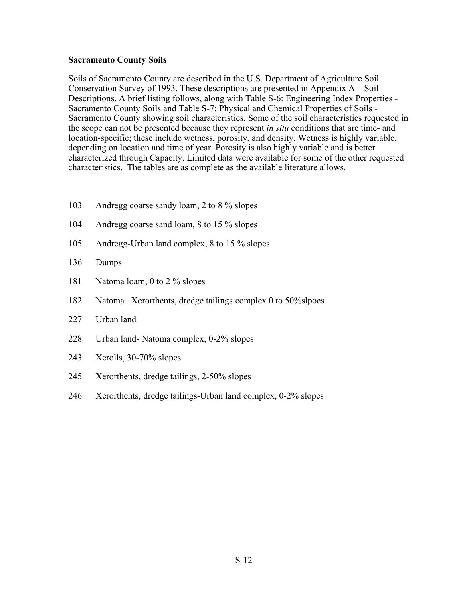#### **Sacramento County Soils**

Soils of Sacramento County are described in the U.S. Department of Agriculture Soil Conservation Survey of 1993. These descriptions are presented in Appendix A – Soil Descriptions. A brief listing follows, along with Table S-6: Engineering Index Properties - Sacramento County Soils and Table S-7: Physical and Chemical Properties of Soils - Sacramento County showing soil characteristics. Some of the soil characteristics requested in the scope can not be presented because they represent *in situ* conditions that are time- and location-specific; these include wetness, porosity, and density. Wetness is highly variable, depending on location and time of year. Porosity is also highly variable and is better characterized through Capacity. Limited data were available for some of the other requested characteristics. The tables are as complete as the available literature allows.

- 103 Andregg coarse sandy loam, 2 to 8 % slopes
- 104 Andregg coarse sand loam, 8 to 15 % slopes
- 105 Andregg-Urban land complex, 8 to 15 % slopes
- 136 Dumps
- 181 Natoma loam, 0 to 2 % slopes
- 182 Natoma –Xerorthents, dredge tailings complex 0 to 50%slpoes
- 227 Urban land
- 228 Urban land- Natoma complex, 0-2% slopes
- 243 Xerolls, 30-70% slopes
- 245 Xerorthents, dredge tailings, 2-50% slopes
- 246 Xerorthents, dredge tailings-Urban land complex, 0-2% slopes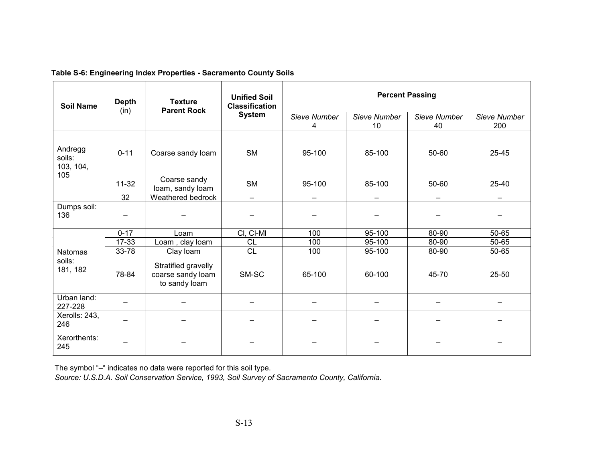| <b>Soil Name</b>                      | <b>Depth</b><br>(in) | <b>Texture</b><br><b>Parent Rock</b>                      | <b>Unified Soil</b><br><b>Classification</b> | <b>Percent Passing</b> |                          |                    |                     |  |
|---------------------------------------|----------------------|-----------------------------------------------------------|----------------------------------------------|------------------------|--------------------------|--------------------|---------------------|--|
|                                       |                      |                                                           | <b>System</b>                                | Sieve Number<br>4      | Sieve Number<br>10       | Sieve Number<br>40 | Sieve Number<br>200 |  |
| Andregg<br>soils:<br>103, 104,<br>105 | $0 - 11$             | Coarse sandy loam                                         | <b>SM</b>                                    | 95-100                 | 85-100                   | 50-60              | 25-45               |  |
|                                       | $11-32$              | Coarse sandy<br>loam, sandy loam                          | <b>SM</b>                                    | 95-100                 | 85-100                   | 50-60              | 25-40               |  |
| 32                                    |                      | Weathered bedrock                                         | $-$                                          | —                      | $\overline{\phantom{m}}$ | —                  | -                   |  |
| Dumps soil:<br>136                    |                      |                                                           |                                              |                        |                          |                    |                     |  |
|                                       | $0 - 17$             | Loam                                                      | CI, CI-MI                                    | 100                    | 95-100                   | 80-90              | 50-65               |  |
|                                       | $17 - 33$            | Loam, clay loam                                           | CL                                           | 100                    | 95-100                   | 80-90              | 50-65               |  |
| <b>Natomas</b>                        | 33-78                | Clay loam                                                 | CL                                           | 100                    | 95-100                   | 80-90              | 50-65               |  |
| soils:<br>181, 182                    | 78-84                | Stratified gravelly<br>coarse sandy loam<br>to sandy loam | SM-SC                                        | 65-100                 | 60-100                   | 45-70              | 25-50               |  |
| Urban land:<br>227-228                |                      |                                                           |                                              |                        |                          |                    |                     |  |
| Xerolls: 243,<br>246                  |                      |                                                           |                                              |                        |                          |                    |                     |  |
| Xerorthents:<br>245                   |                      |                                                           |                                              |                        |                          |                    |                     |  |

#### **Table S-6: Engineering Index Properties - Sacramento County Soils**

The symbol "–" indicates no data were reported for this soil type.

*Source: U.S.D.A. Soil Conservation Service, 1993, Soil Survey of Sacramento County, California.*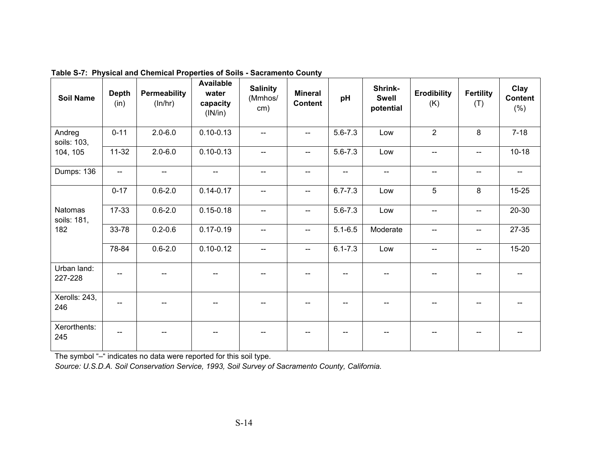| <b>Soil Name</b>              | <b>Depth</b><br>(in)     | <b>Permeability</b><br>(ln/hr) | <b>Available</b><br>water<br>capacity<br>(IN/in) | <b>Salinity</b><br>(Mmhos/<br>cm) | <b>Mineral</b><br><b>Content</b> | pH                       | Shrink-<br><b>Swell</b><br>potential | <b>Erodibility</b><br>(K) | <b>Fertility</b><br>(T)  | Clay<br><b>Content</b><br>$(\% )$ |
|-------------------------------|--------------------------|--------------------------------|--------------------------------------------------|-----------------------------------|----------------------------------|--------------------------|--------------------------------------|---------------------------|--------------------------|-----------------------------------|
| Andreg<br>soils: 103,         | $0 - 11$                 | $2.0 - 6.0$                    | $0.10 - 0.13$                                    | $-$                               | $\overline{a}$                   | $5.6 - 7.3$              | Low                                  | $\overline{2}$            | 8                        | $7 - 18$                          |
| 104, 105                      | $11 - 32$                | $2.0 - 6.0$                    | $0.10 - 0.13$                                    | --                                | $\overline{\phantom{a}}$         | $5.6 - 7.3$              | Low                                  | $\overline{\phantom{m}}$  | $-$                      | $10 - 18$                         |
| Dumps: 136                    | $\overline{\phantom{a}}$ | $\overline{\phantom{a}}$       | $\overline{\phantom{a}}$                         | --                                | $-$                              | $\overline{\phantom{a}}$ | $\overline{\phantom{a}}$             | $-$                       | $\overline{\phantom{a}}$ | $\overline{\phantom{a}}$          |
|                               | $0 - 17$                 | $0.6 - 2.0$                    | $0.14 - 0.17$                                    | --                                | $\overline{\phantom{m}}$         | $6.7 - 7.3$              | Low                                  | 5                         | 8                        | $15 - 25$                         |
| <b>Natomas</b><br>soils: 181, | 17-33                    | $0.6 - 2.0$                    | $0.15 - 0.18$                                    | $\overline{\phantom{a}}$          | $\overline{\phantom{a}}$         | $5.6 - 7.3$              | Low                                  | $\overline{\phantom{a}}$  | $\overline{\phantom{a}}$ | 20-30                             |
| 182                           | 33-78                    | $0.2 - 0.6$                    | $0.17 - 0.19$                                    | --                                | $-$                              | $5.1 - 6.5$              | Moderate                             | $-$                       | $\overline{\phantom{a}}$ | $27 - 35$                         |
|                               | 78-84                    | $0.6 - 2.0$                    | $0.10 - 0.12$                                    | --                                | $- -$                            | $6.1 - 7.3$              | Low                                  | $\overline{a}$            | --                       | $15 - 20$                         |
| Urban land:<br>227-228        |                          |                                |                                                  |                                   |                                  |                          |                                      |                           |                          |                                   |
| Xerolls: 243,<br>246          | --                       |                                | --                                               |                                   |                                  |                          |                                      |                           |                          |                                   |
| Xerorthents:<br>245           | --                       |                                |                                                  |                                   |                                  |                          |                                      |                           |                          |                                   |

**Table S-7: Physical and Chemical Properties of Soils - Sacramento County**

The symbol "–" indicates no data were reported for this soil type.

*Source: U.S.D.A. Soil Conservation Service, 1993, Soil Survey of Sacramento County, California.*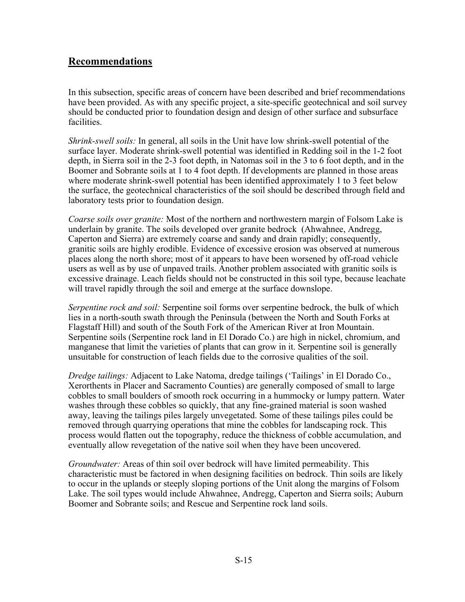# **Recommendations**

In this subsection, specific areas of concern have been described and brief recommendations have been provided. As with any specific project, a site-specific geotechnical and soil survey should be conducted prior to foundation design and design of other surface and subsurface facilities.

*Shrink-swell soils:* In general, all soils in the Unit have low shrink-swell potential of the surface layer. Moderate shrink-swell potential was identified in Redding soil in the 1-2 foot depth, in Sierra soil in the 2-3 foot depth, in Natomas soil in the 3 to 6 foot depth, and in the Boomer and Sobrante soils at 1 to 4 foot depth. If developments are planned in those areas where moderate shrink-swell potential has been identified approximately 1 to 3 feet below the surface, the geotechnical characteristics of the soil should be described through field and laboratory tests prior to foundation design.

*Coarse soils over granite:* Most of the northern and northwestern margin of Folsom Lake is underlain by granite. The soils developed over granite bedrock (Ahwahnee, Andregg, Caperton and Sierra) are extremely coarse and sandy and drain rapidly; consequently, granitic soils are highly erodible. Evidence of excessive erosion was observed at numerous places along the north shore; most of it appears to have been worsened by off-road vehicle users as well as by use of unpaved trails. Another problem associated with granitic soils is excessive drainage. Leach fields should not be constructed in this soil type, because leachate will travel rapidly through the soil and emerge at the surface downslope.

*Serpentine rock and soil:* Serpentine soil forms over serpentine bedrock, the bulk of which lies in a north-south swath through the Peninsula (between the North and South Forks at Flagstaff Hill) and south of the South Fork of the American River at Iron Mountain. Serpentine soils (Serpentine rock land in El Dorado Co.) are high in nickel, chromium, and manganese that limit the varieties of plants that can grow in it. Serpentine soil is generally unsuitable for construction of leach fields due to the corrosive qualities of the soil.

*Dredge tailings:* Adjacent to Lake Natoma, dredge tailings ('Tailings' in El Dorado Co., Xerorthents in Placer and Sacramento Counties) are generally composed of small to large cobbles to small boulders of smooth rock occurring in a hummocky or lumpy pattern. Water washes through these cobbles so quickly, that any fine-grained material is soon washed away, leaving the tailings piles largely unvegetated. Some of these tailings piles could be removed through quarrying operations that mine the cobbles for landscaping rock. This process would flatten out the topography, reduce the thickness of cobble accumulation, and eventually allow revegetation of the native soil when they have been uncovered.

*Groundwater:* Areas of thin soil over bedrock will have limited permeability. This characteristic must be factored in when designing facilities on bedrock. Thin soils are likely to occur in the uplands or steeply sloping portions of the Unit along the margins of Folsom Lake. The soil types would include Ahwahnee, Andregg, Caperton and Sierra soils; Auburn Boomer and Sobrante soils; and Rescue and Serpentine rock land soils.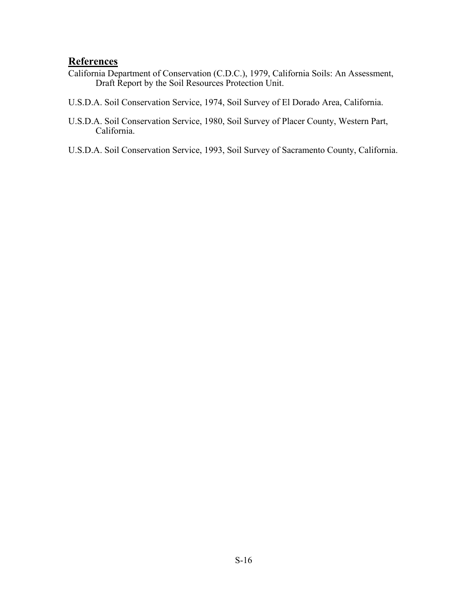# **References**

- California Department of Conservation (C.D.C.), 1979, California Soils: An Assessment, Draft Report by the Soil Resources Protection Unit.
- U.S.D.A. Soil Conservation Service, 1974, Soil Survey of El Dorado Area, California.
- U.S.D.A. Soil Conservation Service, 1980, Soil Survey of Placer County, Western Part, California.
- U.S.D.A. Soil Conservation Service, 1993, Soil Survey of Sacramento County, California.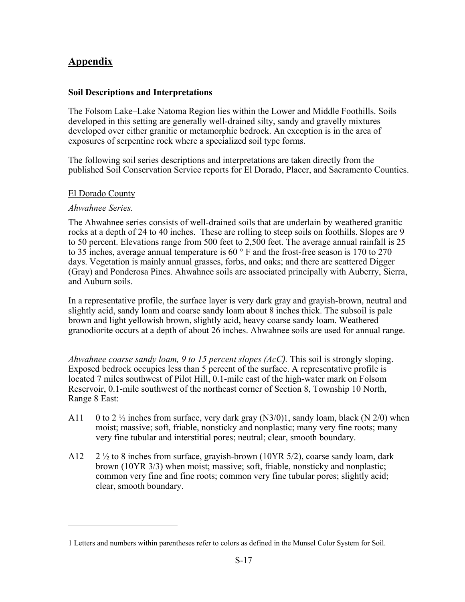# **Appendix**

### **Soil Descriptions and Interpretations**

The Folsom Lake–Lake Natoma Region lies within the Lower and Middle Foothills. Soils developed in this setting are generally well-drained silty, sandy and gravelly mixtures developed over either granitic or metamorphic bedrock. An exception is in the area of exposures of serpentine rock where a specialized soil type forms.

The following soil series descriptions and interpretations are taken directly from the published Soil Conservation Service reports for El Dorado, Placer, and Sacramento Counties.

### El Dorado County

### *Ahwahnee Series.*

1

The Ahwahnee series consists of well-drained soils that are underlain by weathered granitic rocks at a depth of 24 to 40 inches. These are rolling to steep soils on foothills. Slopes are 9 to 50 percent. Elevations range from 500 feet to 2,500 feet. The average annual rainfall is 25 to 35 inches, average annual temperature is 60 ° F and the frost-free season is 170 to 270 days. Vegetation is mainly annual grasses, forbs, and oaks; and there are scattered Digger (Gray) and Ponderosa Pines. Ahwahnee soils are associated principally with Auberry, Sierra, and Auburn soils.

In a representative profile, the surface layer is very dark gray and grayish-brown, neutral and slightly acid, sandy loam and coarse sandy loam about 8 inches thick. The subsoil is pale brown and light yellowish brown, slightly acid, heavy coarse sandy loam. Weathered granodiorite occurs at a depth of about 26 inches. Ahwahnee soils are used for annual range.

*Ahwahnee coarse sandy loam, 9 to 15 percent slopes (AcC).* This soil is strongly sloping. Exposed bedrock occupies less than 5 percent of the surface. A representative profile is located 7 miles southwest of Pilot Hill, 0.1-mile east of the high-water mark on Folsom Reservoir, 0.1-mile southwest of the northeast corner of Section 8, Township 10 North, Range 8 East:

- A11 0 to 2  $\frac{1}{2}$  inches from surface, very dark gray (N3/0)1, sandy loam, black (N 2/0) when moist; massive; soft, friable, nonsticky and nonplastic; many very fine roots; many very fine tubular and interstitial pores; neutral; clear, smooth boundary.
- A12  $2\frac{1}{2}$  to 8 inches from surface, grayish-brown (10YR 5/2), coarse sandy loam, dark brown (10YR 3/3) when moist; massive; soft, friable, nonsticky and nonplastic; common very fine and fine roots; common very fine tubular pores; slightly acid; clear, smooth boundary.

<sup>1</sup> Letters and numbers within parentheses refer to colors as defined in the Munsel Color System for Soil.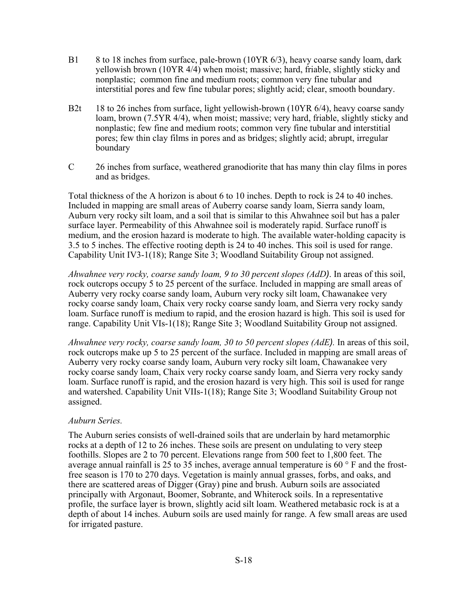- B1 8 to 18 inches from surface, pale-brown (10YR 6/3), heavy coarse sandy loam, dark yellowish brown (10YR 4/4) when moist; massive; hard, friable, slightly sticky and nonplastic; common fine and medium roots; common very fine tubular and interstitial pores and few fine tubular pores; slightly acid; clear, smooth boundary.
- B2t 18 to 26 inches from surface, light yellowish-brown (10YR 6/4), heavy coarse sandy loam, brown (7.5YR 4/4), when moist; massive; very hard, friable, slightly sticky and nonplastic; few fine and medium roots; common very fine tubular and interstitial pores; few thin clay films in pores and as bridges; slightly acid; abrupt, irregular boundary
- C 26 inches from surface, weathered granodiorite that has many thin clay films in pores and as bridges.

Total thickness of the A horizon is about 6 to 10 inches. Depth to rock is 24 to 40 inches. Included in mapping are small areas of Auberry coarse sandy loam, Sierra sandy loam, Auburn very rocky silt loam, and a soil that is similar to this Ahwahnee soil but has a paler surface layer. Permeability of this Ahwahnee soil is moderately rapid. Surface runoff is medium, and the erosion hazard is moderate to high. The available water-holding capacity is 3.5 to 5 inches. The effective rooting depth is 24 to 40 inches. This soil is used for range. Capability Unit IV3-1(18); Range Site 3; Woodland Suitability Group not assigned.

*Ahwahnee very rocky, coarse sandy loam, 9 to 30 percent slopes (AdD)*. In areas of this soil, rock outcrops occupy 5 to 25 percent of the surface. Included in mapping are small areas of Auberry very rocky coarse sandy loam, Auburn very rocky silt loam, Chawanakee very rocky coarse sandy loam, Chaix very rocky coarse sandy loam, and Sierra very rocky sandy loam. Surface runoff is medium to rapid, and the erosion hazard is high. This soil is used for range. Capability Unit VIs-1(18); Range Site 3; Woodland Suitability Group not assigned.

*Ahwahnee very rocky, coarse sandy loam, 30 to 50 percent slopes (AdE).* In areas of this soil, rock outcrops make up 5 to 25 percent of the surface. Included in mapping are small areas of Auberry very rocky coarse sandy loam, Auburn very rocky silt loam, Chawanakee very rocky coarse sandy loam, Chaix very rocky coarse sandy loam, and Sierra very rocky sandy loam. Surface runoff is rapid, and the erosion hazard is very high. This soil is used for range and watershed. Capability Unit VIIs-1(18); Range Site 3; Woodland Suitability Group not assigned.

### *Auburn Series.*

The Auburn series consists of well-drained soils that are underlain by hard metamorphic rocks at a depth of 12 to 26 inches. These soils are present on undulating to very steep foothills. Slopes are 2 to 70 percent. Elevations range from 500 feet to 1,800 feet. The average annual rainfall is 25 to 35 inches, average annual temperature is 60 $\degree$ F and the frostfree season is 170 to 270 days. Vegetation is mainly annual grasses, forbs, and oaks, and there are scattered areas of Digger (Gray) pine and brush. Auburn soils are associated principally with Argonaut, Boomer, Sobrante, and Whiterock soils. In a representative profile, the surface layer is brown, slightly acid silt loam. Weathered metabasic rock is at a depth of about 14 inches. Auburn soils are used mainly for range. A few small areas are used for irrigated pasture.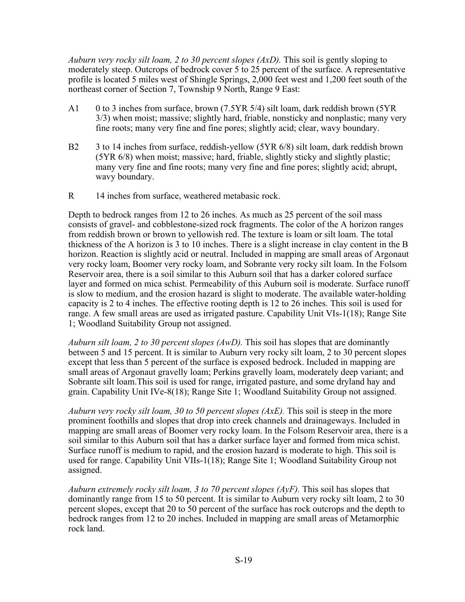*Auburn very rocky silt loam, 2 to 30 percent slopes (AxD).* This soil is gently sloping to moderately steep. Outcrops of bedrock cover 5 to 25 percent of the surface. A representative profile is located 5 miles west of Shingle Springs, 2,000 feet west and 1,200 feet south of the northeast corner of Section 7, Township 9 North, Range 9 East:

- A1 0 to 3 inches from surface, brown (7.5YR 5/4) silt loam, dark reddish brown (5YR 3/3) when moist; massive; slightly hard, friable, nonsticky and nonplastic; many very fine roots; many very fine and fine pores; slightly acid; clear, wavy boundary.
- B2 3 to 14 inches from surface, reddish-yellow (5YR 6/8) silt loam, dark reddish brown (5YR 6/8) when moist; massive; hard, friable, slightly sticky and slightly plastic; many very fine and fine roots; many very fine and fine pores; slightly acid; abrupt, wavy boundary.
- R 14 inches from surface, weathered metabasic rock.

Depth to bedrock ranges from 12 to 26 inches. As much as 25 percent of the soil mass consists of gravel- and cobblestone-sized rock fragments. The color of the A horizon ranges from reddish brown or brown to yellowish red. The texture is loam or silt loam. The total thickness of the A horizon is 3 to 10 inches. There is a slight increase in clay content in the B horizon. Reaction is slightly acid or neutral. Included in mapping are small areas of Argonaut very rocky loam, Boomer very rocky loam, and Sobrante very rocky silt loam. In the Folsom Reservoir area, there is a soil similar to this Auburn soil that has a darker colored surface layer and formed on mica schist. Permeability of this Auburn soil is moderate. Surface runoff is slow to medium, and the erosion hazard is slight to moderate. The available water-holding capacity is 2 to 4 inches. The effective rooting depth is 12 to 26 inches. This soil is used for range. A few small areas are used as irrigated pasture. Capability Unit VIs-1(18); Range Site 1; Woodland Suitability Group not assigned.

*Auburn silt loam, 2 to 30 percent slopes (AwD).* This soil has slopes that are dominantly between 5 and 15 percent. It is similar to Auburn very rocky silt loam, 2 to 30 percent slopes except that less than 5 percent of the surface is exposed bedrock. Included in mapping are small areas of Argonaut gravelly loam; Perkins gravelly loam, moderately deep variant; and Sobrante silt loam.This soil is used for range, irrigated pasture, and some dryland hay and grain. Capability Unit IVe-8(18); Range Site 1; Woodland Suitability Group not assigned.

*Auburn very rocky silt loam, 30 to 50 percent slopes (AxE).* This soil is steep in the more prominent foothills and slopes that drop into creek channels and drainageways. Included in mapping are small areas of Boomer very rocky loam. In the Folsom Reservoir area, there is a soil similar to this Auburn soil that has a darker surface layer and formed from mica schist. Surface runoff is medium to rapid, and the erosion hazard is moderate to high. This soil is used for range. Capability Unit VIIs-1(18); Range Site 1; Woodland Suitability Group not assigned.

*Auburn extremely rocky silt loam, 3 to 70 percent slopes (AyF).* This soil has slopes that dominantly range from 15 to 50 percent. It is similar to Auburn very rocky silt loam, 2 to 30 percent slopes, except that 20 to 50 percent of the surface has rock outcrops and the depth to bedrock ranges from 12 to 20 inches. Included in mapping are small areas of Metamorphic rock land.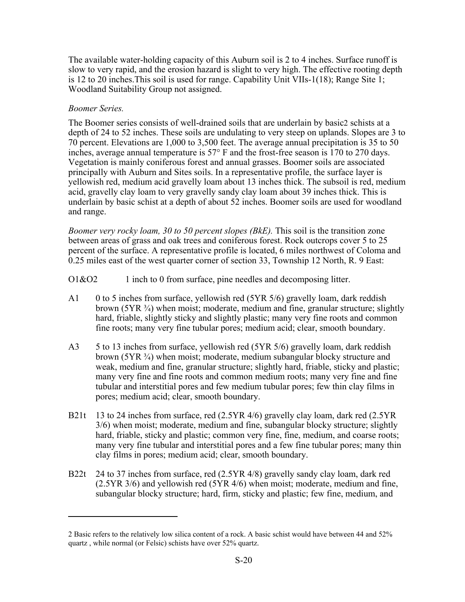The available water-holding capacity of this Auburn soil is 2 to 4 inches. Surface runoff is slow to very rapid, and the erosion hazard is slight to very high. The effective rooting depth is 12 to 20 inches.This soil is used for range. Capability Unit VIIs-1(18); Range Site 1; Woodland Suitability Group not assigned.

### *Boomer Series.*

1

The Boomer series consists of well-drained soils that are underlain by basic2 schists at a depth of 24 to 52 inches. These soils are undulating to very steep on uplands. Slopes are 3 to 70 percent. Elevations are 1,000 to 3,500 feet. The average annual precipitation is 35 to 50 inches, average annual temperature is 57° F and the frost-free season is 170 to 270 days. Vegetation is mainly coniferous forest and annual grasses. Boomer soils are associated principally with Auburn and Sites soils. In a representative profile, the surface layer is yellowish red, medium acid gravelly loam about 13 inches thick. The subsoil is red, medium acid, gravelly clay loam to very gravelly sandy clay loam about 39 inches thick. This is underlain by basic schist at a depth of about 52 inches. Boomer soils are used for woodland and range.

*Boomer very rocky loam, 30 to 50 percent slopes (BkE).* This soil is the transition zone between areas of grass and oak trees and coniferous forest. Rock outcrops cover 5 to 25 percent of the surface. A representative profile is located, 6 miles northwest of Coloma and 0.25 miles east of the west quarter corner of section 33, Township 12 North, R. 9 East:

 $01&02 \quad 1$  inch to 0 from surface, pine needles and decomposing litter.

- A1 0 to 5 inches from surface, yellowish red (5YR 5/6) gravelly loam, dark reddish brown (5YR ¾) when moist; moderate, medium and fine, granular structure; slightly hard, friable, slightly sticky and slightly plastic; many very fine roots and common fine roots; many very fine tubular pores; medium acid; clear, smooth boundary.
- A3 5 to 13 inches from surface, yellowish red (5YR 5/6) gravelly loam, dark reddish brown (5YR ¾) when moist; moderate, medium subangular blocky structure and weak, medium and fine, granular structure; slightly hard, friable, sticky and plastic; many very fine and fine roots and common medium roots; many very fine and fine tubular and interstitial pores and few medium tubular pores; few thin clay films in pores; medium acid; clear, smooth boundary.
- B21t 13 to 24 inches from surface, red (2.5YR 4/6) gravelly clay loam, dark red (2.5YR 3/6) when moist; moderate, medium and fine, subangular blocky structure; slightly hard, friable, sticky and plastic; common very fine, fine, medium, and coarse roots; many very fine tubular and interstitial pores and a few fine tubular pores; many thin clay films in pores; medium acid; clear, smooth boundary.
- B22t 24 to 37 inches from surface, red (2.5YR 4/8) gravelly sandy clay loam, dark red (2.5YR 3/6) and yellowish red (5YR 4/6) when moist; moderate, medium and fine, subangular blocky structure; hard, firm, sticky and plastic; few fine, medium, and

<sup>2</sup> Basic refers to the relatively low silica content of a rock. A basic schist would have between 44 and 52% quartz , while normal (or Felsic) schists have over 52% quartz.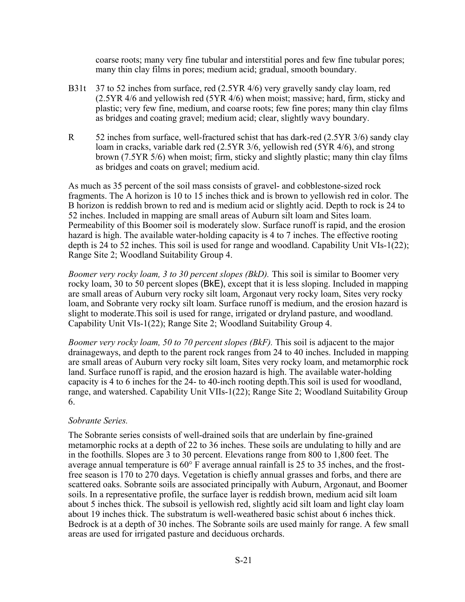coarse roots; many very fine tubular and interstitial pores and few fine tubular pores; many thin clay films in pores; medium acid; gradual, smooth boundary.

- B31t 37 to 52 inches from surface, red (2.5YR 4/6) very gravelly sandy clay loam, red (2.5YR 4/6 and yellowish red (5YR 4/6) when moist; massive; hard, firm, sticky and plastic; very few fine, medium, and coarse roots; few fine pores; many thin clay films as bridges and coating gravel; medium acid; clear, slightly wavy boundary.
- R 52 inches from surface, well-fractured schist that has dark-red (2.5YR 3/6) sandy clay loam in cracks, variable dark red (2.5YR 3/6, yellowish red (5YR 4/6), and strong brown (7.5YR 5/6) when moist; firm, sticky and slightly plastic; many thin clay films as bridges and coats on gravel; medium acid.

As much as 35 percent of the soil mass consists of gravel- and cobblestone-sized rock fragments. The A horizon is 10 to 15 inches thick and is brown to yellowish red in color. The B horizon is reddish brown to red and is medium acid or slightly acid. Depth to rock is 24 to 52 inches. Included in mapping are small areas of Auburn silt loam and Sites loam. Permeability of this Boomer soil is moderately slow. Surface runoff is rapid, and the erosion hazard is high. The available water-holding capacity is 4 to 7 inches. The effective rooting depth is 24 to 52 inches. This soil is used for range and woodland. Capability Unit VIs-1(22); Range Site 2; Woodland Suitability Group 4.

*Boomer very rocky loam, 3 to 30 percent slopes (BkD).* This soil is similar to Boomer very rocky loam, 30 to 50 percent slopes (BkE), except that it is less sloping. Included in mapping are small areas of Auburn very rocky silt loam, Argonaut very rocky loam, Sites very rocky loam, and Sobrante very rocky silt loam. Surface runoff is medium, and the erosion hazard is slight to moderate.This soil is used for range, irrigated or dryland pasture, and woodland. Capability Unit VIs-1(22); Range Site 2; Woodland Suitability Group 4.

*Boomer very rocky loam, 50 to 70 percent slopes (BkF).* This soil is adjacent to the major drainageways, and depth to the parent rock ranges from 24 to 40 inches. Included in mapping are small areas of Auburn very rocky silt loam, Sites very rocky loam, and metamorphic rock land. Surface runoff is rapid, and the erosion hazard is high. The available water-holding capacity is 4 to 6 inches for the 24- to 40-inch rooting depth.This soil is used for woodland, range, and watershed. Capability Unit VIIs-1(22); Range Site 2; Woodland Suitability Group 6.

## *Sobrante Series.*

The Sobrante series consists of well-drained soils that are underlain by fine-grained metamorphic rocks at a depth of 22 to 36 inches. These soils are undulating to hilly and are in the foothills. Slopes are 3 to 30 percent. Elevations range from 800 to 1,800 feet. The average annual temperature is 60° F average annual rainfall is 25 to 35 inches, and the frostfree season is 170 to 270 days. Vegetation is chiefly annual grasses and forbs, and there are scattered oaks. Sobrante soils are associated principally with Auburn, Argonaut, and Boomer soils. In a representative profile, the surface layer is reddish brown, medium acid silt loam about 5 inches thick. The subsoil is yellowish red, slightly acid silt loam and light clay loam about 19 inches thick. The substratum is well-weathered basic schist about 6 inches thick. Bedrock is at a depth of 30 inches. The Sobrante soils are used mainly for range. A few small areas are used for irrigated pasture and deciduous orchards.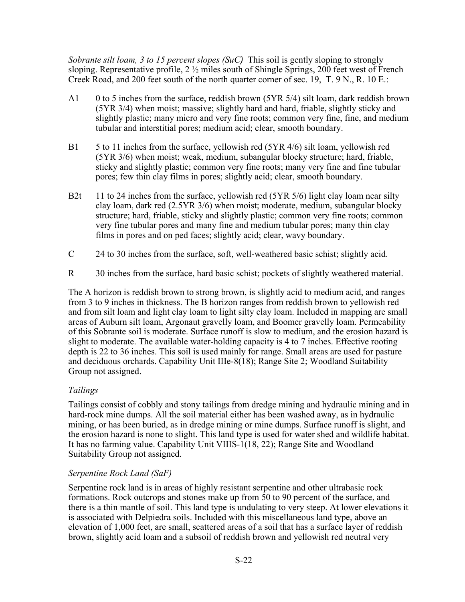*Sobrante silt loam, 3 to 15 percent slopes (SuC)* This soil is gently sloping to strongly sloping. Representative profile, 2 ½ miles south of Shingle Springs, 200 feet west of French Creek Road, and 200 feet south of the north quarter corner of sec. 19, T. 9 N., R. 10 E.:

- A1 0 to 5 inches from the surface, reddish brown (5YR 5/4) silt loam, dark reddish brown (5YR 3/4) when moist; massive; slightly hard and hard, friable, slightly sticky and slightly plastic; many micro and very fine roots; common very fine, fine, and medium tubular and interstitial pores; medium acid; clear, smooth boundary.
- B1 5 to 11 inches from the surface, yellowish red (5YR 4/6) silt loam, yellowish red (5YR 3/6) when moist; weak, medium, subangular blocky structure; hard, friable, sticky and slightly plastic; common very fine roots; many very fine and fine tubular pores; few thin clay films in pores; slightly acid; clear, smooth boundary.
- B2t 11 to 24 inches from the surface, yellowish red (5YR 5/6) light clay loam near silty clay loam, dark red (2.5YR 3/6) when moist; moderate, medium, subangular blocky structure; hard, friable, sticky and slightly plastic; common very fine roots; common very fine tubular pores and many fine and medium tubular pores; many thin clay films in pores and on ped faces; slightly acid; clear, wavy boundary.
- C 24 to 30 inches from the surface, soft, well-weathered basic schist; slightly acid.
- R 30 inches from the surface, hard basic schist; pockets of slightly weathered material.

The A horizon is reddish brown to strong brown, is slightly acid to medium acid, and ranges from 3 to 9 inches in thickness. The B horizon ranges from reddish brown to yellowish red and from silt loam and light clay loam to light silty clay loam. Included in mapping are small areas of Auburn silt loam, Argonaut gravelly loam, and Boomer gravelly loam. Permeability of this Sobrante soil is moderate. Surface runoff is slow to medium, and the erosion hazard is slight to moderate. The available water-holding capacity is 4 to 7 inches. Effective rooting depth is 22 to 36 inches. This soil is used mainly for range. Small areas are used for pasture and deciduous orchards. Capability Unit IIIe-8(18); Range Site 2; Woodland Suitability Group not assigned.

## *Tailings*

Tailings consist of cobbly and stony tailings from dredge mining and hydraulic mining and in hard-rock mine dumps. All the soil material either has been washed away, as in hydraulic mining, or has been buried, as in dredge mining or mine dumps. Surface runoff is slight, and the erosion hazard is none to slight. This land type is used for water shed and wildlife habitat. It has no farming value. Capability Unit VIIIS-1(18, 22); Range Site and Woodland Suitability Group not assigned.

## *Serpentine Rock Land (SaF)*

Serpentine rock land is in areas of highly resistant serpentine and other ultrabasic rock formations. Rock outcrops and stones make up from 50 to 90 percent of the surface, and there is a thin mantle of soil. This land type is undulating to very steep. At lower elevations it is associated with Delpiedra soils. Included with this miscellaneous land type, above an elevation of 1,000 feet, are small, scattered areas of a soil that has a surface layer of reddish brown, slightly acid loam and a subsoil of reddish brown and yellowish red neutral very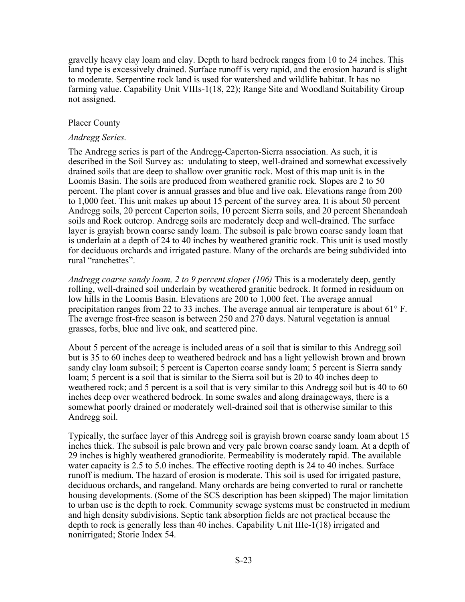gravelly heavy clay loam and clay. Depth to hard bedrock ranges from 10 to 24 inches. This land type is excessively drained. Surface runoff is very rapid, and the erosion hazard is slight to moderate. Serpentine rock land is used for watershed and wildlife habitat. It has no farming value. Capability Unit VIIIs-1(18, 22); Range Site and Woodland Suitability Group not assigned.

### Placer County

#### *Andregg Series.*

The Andregg series is part of the Andregg-Caperton-Sierra association. As such, it is described in the Soil Survey as: undulating to steep, well-drained and somewhat excessively drained soils that are deep to shallow over granitic rock. Most of this map unit is in the Loomis Basin. The soils are produced from weathered granitic rock. Slopes are 2 to 50 percent. The plant cover is annual grasses and blue and live oak. Elevations range from 200 to 1,000 feet. This unit makes up about 15 percent of the survey area. It is about 50 percent Andregg soils, 20 percent Caperton soils, 10 percent Sierra soils, and 20 percent Shenandoah soils and Rock outcrop. Andregg soils are moderately deep and well-drained. The surface layer is grayish brown coarse sandy loam. The subsoil is pale brown coarse sandy loam that is underlain at a depth of 24 to 40 inches by weathered granitic rock. This unit is used mostly for deciduous orchards and irrigated pasture. Many of the orchards are being subdivided into rural "ranchettes".

*Andregg coarse sandy loam, 2 to 9 percent slopes (106)* This is a moderately deep, gently rolling, well-drained soil underlain by weathered granitic bedrock. It formed in residuum on low hills in the Loomis Basin. Elevations are 200 to 1,000 feet. The average annual precipitation ranges from 22 to 33 inches. The average annual air temperature is about 61° F. The average frost-free season is between 250 and 270 days. Natural vegetation is annual grasses, forbs, blue and live oak, and scattered pine.

About 5 percent of the acreage is included areas of a soil that is similar to this Andregg soil but is 35 to 60 inches deep to weathered bedrock and has a light yellowish brown and brown sandy clay loam subsoil; 5 percent is Caperton coarse sandy loam; 5 percent is Sierra sandy loam; 5 percent is a soil that is similar to the Sierra soil but is 20 to 40 inches deep to weathered rock; and 5 percent is a soil that is very similar to this Andregg soil but is 40 to 60 inches deep over weathered bedrock. In some swales and along drainageways, there is a somewhat poorly drained or moderately well-drained soil that is otherwise similar to this Andregg soil.

Typically, the surface layer of this Andregg soil is grayish brown coarse sandy loam about 15 inches thick. The subsoil is pale brown and very pale brown coarse sandy loam. At a depth of 29 inches is highly weathered granodiorite. Permeability is moderately rapid. The available water capacity is 2.5 to 5.0 inches. The effective rooting depth is 24 to 40 inches. Surface runoff is medium. The hazard of erosion is moderate. This soil is used for irrigated pasture, deciduous orchards, and rangeland. Many orchards are being converted to rural or ranchette housing developments. (Some of the SCS description has been skipped) The major limitation to urban use is the depth to rock. Community sewage systems must be constructed in medium and high density subdivisions. Septic tank absorption fields are not practical because the depth to rock is generally less than 40 inches. Capability Unit IIIe-1(18) irrigated and nonirrigated; Storie Index 54.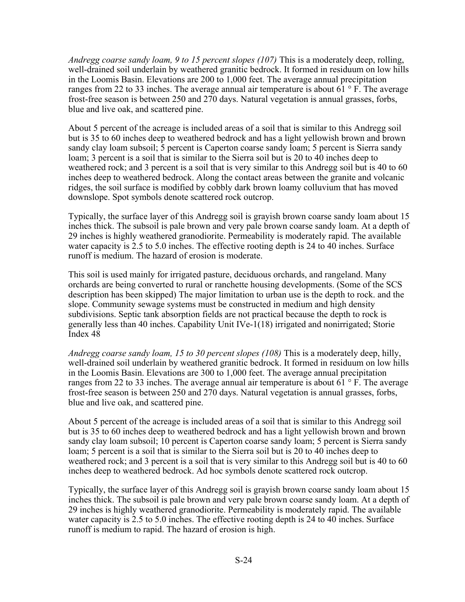*Andregg coarse sandy loam, 9 to 15 percent slopes (107)* This is a moderately deep, rolling, well-drained soil underlain by weathered granitic bedrock. It formed in residuum on low hills in the Loomis Basin. Elevations are 200 to 1,000 feet. The average annual precipitation ranges from 22 to 33 inches. The average annual air temperature is about 61 $\degree$ F. The average frost-free season is between 250 and 270 days. Natural vegetation is annual grasses, forbs, blue and live oak, and scattered pine.

About 5 percent of the acreage is included areas of a soil that is similar to this Andregg soil but is 35 to 60 inches deep to weathered bedrock and has a light yellowish brown and brown sandy clay loam subsoil; 5 percent is Caperton coarse sandy loam; 5 percent is Sierra sandy loam; 3 percent is a soil that is similar to the Sierra soil but is 20 to 40 inches deep to weathered rock; and 3 percent is a soil that is very similar to this Andregg soil but is 40 to 60 inches deep to weathered bedrock. Along the contact areas between the granite and volcanic ridges, the soil surface is modified by cobbly dark brown loamy colluvium that has moved downslope. Spot symbols denote scattered rock outcrop.

Typically, the surface layer of this Andregg soil is grayish brown coarse sandy loam about 15 inches thick. The subsoil is pale brown and very pale brown coarse sandy loam. At a depth of 29 inches is highly weathered granodiorite. Permeability is moderately rapid. The available water capacity is 2.5 to 5.0 inches. The effective rooting depth is 24 to 40 inches. Surface runoff is medium. The hazard of erosion is moderate.

This soil is used mainly for irrigated pasture, deciduous orchards, and rangeland. Many orchards are being converted to rural or ranchette housing developments. (Some of the SCS description has been skipped) The major limitation to urban use is the depth to rock. and the slope. Community sewage systems must be constructed in medium and high density subdivisions. Septic tank absorption fields are not practical because the depth to rock is generally less than 40 inches. Capability Unit IVe-1(18) irrigated and nonirrigated; Storie Index 48

*Andregg coarse sandy loam, 15 to 30 percent slopes (108)* This is a moderately deep, hilly, well-drained soil underlain by weathered granitic bedrock. It formed in residuum on low hills in the Loomis Basin. Elevations are 300 to 1,000 feet. The average annual precipitation ranges from 22 to 33 inches. The average annual air temperature is about 61  $\degree$  F. The average frost-free season is between 250 and 270 days. Natural vegetation is annual grasses, forbs, blue and live oak, and scattered pine.

About 5 percent of the acreage is included areas of a soil that is similar to this Andregg soil but is 35 to 60 inches deep to weathered bedrock and has a light yellowish brown and brown sandy clay loam subsoil; 10 percent is Caperton coarse sandy loam; 5 percent is Sierra sandy loam; 5 percent is a soil that is similar to the Sierra soil but is 20 to 40 inches deep to weathered rock; and 3 percent is a soil that is very similar to this Andregg soil but is 40 to 60 inches deep to weathered bedrock. Ad hoc symbols denote scattered rock outcrop.

Typically, the surface layer of this Andregg soil is grayish brown coarse sandy loam about 15 inches thick. The subsoil is pale brown and very pale brown coarse sandy loam. At a depth of 29 inches is highly weathered granodiorite. Permeability is moderately rapid. The available water capacity is 2.5 to 5.0 inches. The effective rooting depth is 24 to 40 inches. Surface runoff is medium to rapid. The hazard of erosion is high.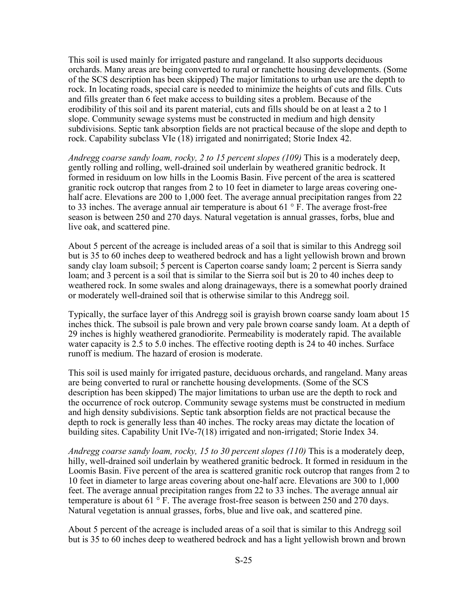This soil is used mainly for irrigated pasture and rangeland. It also supports deciduous orchards. Many areas are being converted to rural or ranchette housing developments. (Some of the SCS description has been skipped) The major limitations to urban use are the depth to rock. In locating roads, special care is needed to minimize the heights of cuts and fills. Cuts and fills greater than 6 feet make access to building sites a problem. Because of the erodibility of this soil and its parent material, cuts and fills should be on at least a 2 to 1 slope. Community sewage systems must be constructed in medium and high density subdivisions. Septic tank absorption fields are not practical because of the slope and depth to rock. Capability subclass VIe (18) irrigated and nonirrigated; Storie Index 42.

*Andregg coarse sandy loam, rocky, 2 to 15 percent slopes (109)* This is a moderately deep, gently rolling and rolling, well-drained soil underlain by weathered granitic bedrock. It formed in residuum on low hills in the Loomis Basin. Five percent of the area is scattered granitic rock outcrop that ranges from 2 to 10 feet in diameter to large areas covering onehalf acre. Elevations are 200 to 1,000 feet. The average annual precipitation ranges from 22 to 33 inches. The average annual air temperature is about  $61^\circ$  F. The average frost-free season is between 250 and 270 days. Natural vegetation is annual grasses, forbs, blue and live oak, and scattered pine.

About 5 percent of the acreage is included areas of a soil that is similar to this Andregg soil but is 35 to 60 inches deep to weathered bedrock and has a light yellowish brown and brown sandy clay loam subsoil; 5 percent is Caperton coarse sandy loam; 2 percent is Sierra sandy loam; and 3 percent is a soil that is similar to the Sierra soil but is 20 to 40 inches deep to weathered rock. In some swales and along drainageways, there is a somewhat poorly drained or moderately well-drained soil that is otherwise similar to this Andregg soil.

Typically, the surface layer of this Andregg soil is grayish brown coarse sandy loam about 15 inches thick. The subsoil is pale brown and very pale brown coarse sandy loam. At a depth of 29 inches is highly weathered granodiorite. Permeability is moderately rapid. The available water capacity is 2.5 to 5.0 inches. The effective rooting depth is 24 to 40 inches. Surface runoff is medium. The hazard of erosion is moderate.

This soil is used mainly for irrigated pasture, deciduous orchards, and rangeland. Many areas are being converted to rural or ranchette housing developments. (Some of the SCS description has been skipped) The major limitations to urban use are the depth to rock and the occurrence of rock outcrop. Community sewage systems must be constructed in medium and high density subdivisions. Septic tank absorption fields are not practical because the depth to rock is generally less than 40 inches. The rocky areas may dictate the location of building sites. Capability Unit IVe-7(18) irrigated and non-irrigated; Storie Index 34.

*Andregg coarse sandy loam, rocky, 15 to 30 percent slopes (110)* This is a moderately deep, hilly, well-drained soil underlain by weathered granitic bedrock. It formed in residuum in the Loomis Basin. Five percent of the area is scattered granitic rock outcrop that ranges from 2 to 10 feet in diameter to large areas covering about one-half acre. Elevations are 300 to 1,000 feet. The average annual precipitation ranges from 22 to 33 inches. The average annual air temperature is about 61 $\degree$  F. The average frost-free season is between 250 and 270 days. Natural vegetation is annual grasses, forbs, blue and live oak, and scattered pine.

About 5 percent of the acreage is included areas of a soil that is similar to this Andregg soil but is 35 to 60 inches deep to weathered bedrock and has a light yellowish brown and brown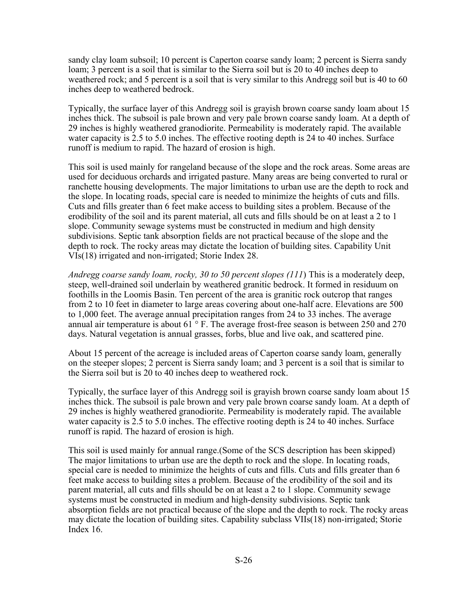sandy clay loam subsoil; 10 percent is Caperton coarse sandy loam; 2 percent is Sierra sandy loam; 3 percent is a soil that is similar to the Sierra soil but is 20 to 40 inches deep to weathered rock; and 5 percent is a soil that is very similar to this Andregg soil but is 40 to 60 inches deep to weathered bedrock.

Typically, the surface layer of this Andregg soil is grayish brown coarse sandy loam about 15 inches thick. The subsoil is pale brown and very pale brown coarse sandy loam. At a depth of 29 inches is highly weathered granodiorite. Permeability is moderately rapid. The available water capacity is 2.5 to 5.0 inches. The effective rooting depth is 24 to 40 inches. Surface runoff is medium to rapid. The hazard of erosion is high.

This soil is used mainly for rangeland because of the slope and the rock areas. Some areas are used for deciduous orchards and irrigated pasture. Many areas are being converted to rural or ranchette housing developments. The major limitations to urban use are the depth to rock and the slope. In locating roads, special care is needed to minimize the heights of cuts and fills. Cuts and fills greater than 6 feet make access to building sites a problem. Because of the erodibility of the soil and its parent material, all cuts and fills should be on at least a 2 to 1 slope. Community sewage systems must be constructed in medium and high density subdivisions. Septic tank absorption fields are not practical because of the slope and the depth to rock. The rocky areas may dictate the location of building sites. Capability Unit VIs(18) irrigated and non-irrigated; Storie Index 28.

*Andregg coarse sandy loam, rocky, 30 to 50 percent slopes (111*) This is a moderately deep, steep, well-drained soil underlain by weathered granitic bedrock. It formed in residuum on foothills in the Loomis Basin. Ten percent of the area is granitic rock outcrop that ranges from 2 to 10 feet in diameter to large areas covering about one-half acre. Elevations are 500 to 1,000 feet. The average annual precipitation ranges from 24 to 33 inches. The average annual air temperature is about 61 $\degree$  F. The average frost-free season is between 250 and 270 days. Natural vegetation is annual grasses, forbs, blue and live oak, and scattered pine.

About 15 percent of the acreage is included areas of Caperton coarse sandy loam, generally on the steeper slopes; 2 percent is Sierra sandy loam; and 3 percent is a soil that is similar to the Sierra soil but is 20 to 40 inches deep to weathered rock.

Typically, the surface layer of this Andregg soil is grayish brown coarse sandy loam about 15 inches thick. The subsoil is pale brown and very pale brown coarse sandy loam. At a depth of 29 inches is highly weathered granodiorite. Permeability is moderately rapid. The available water capacity is 2.5 to 5.0 inches. The effective rooting depth is 24 to 40 inches. Surface runoff is rapid. The hazard of erosion is high.

This soil is used mainly for annual range.(Some of the SCS description has been skipped) The major limitations to urban use are the depth to rock and the slope. In locating roads, special care is needed to minimize the heights of cuts and fills. Cuts and fills greater than 6 feet make access to building sites a problem. Because of the erodibility of the soil and its parent material, all cuts and fills should be on at least a 2 to 1 slope. Community sewage systems must be constructed in medium and high-density subdivisions. Septic tank absorption fields are not practical because of the slope and the depth to rock. The rocky areas may dictate the location of building sites. Capability subclass VIIs(18) non-irrigated; Storie Index 16.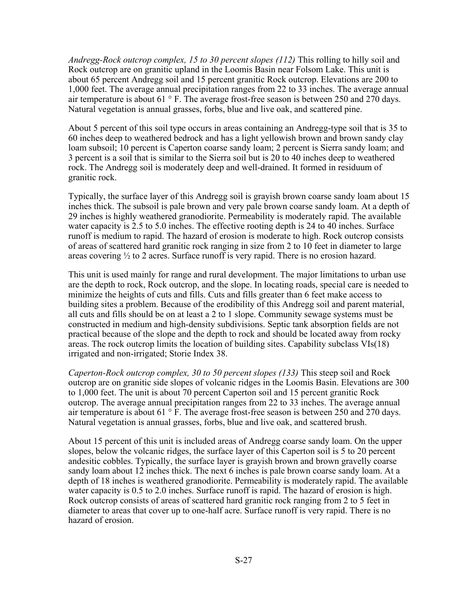*Andregg-Rock outcrop complex, 15 to 30 percent slopes (112)* This rolling to hilly soil and Rock outcrop are on granitic upland in the Loomis Basin near Folsom Lake. This unit is about 65 percent Andregg soil and 15 percent granitic Rock outcrop. Elevations are 200 to 1,000 feet. The average annual precipitation ranges from 22 to 33 inches. The average annual air temperature is about 61 ° F. The average frost-free season is between 250 and 270 days. Natural vegetation is annual grasses, forbs, blue and live oak, and scattered pine.

About 5 percent of this soil type occurs in areas containing an Andregg-type soil that is 35 to 60 inches deep to weathered bedrock and has a light yellowish brown and brown sandy clay loam subsoil; 10 percent is Caperton coarse sandy loam; 2 percent is Sierra sandy loam; and 3 percent is a soil that is similar to the Sierra soil but is 20 to 40 inches deep to weathered rock. The Andregg soil is moderately deep and well-drained. It formed in residuum of granitic rock.

Typically, the surface layer of this Andregg soil is grayish brown coarse sandy loam about 15 inches thick. The subsoil is pale brown and very pale brown coarse sandy loam. At a depth of 29 inches is highly weathered granodiorite. Permeability is moderately rapid. The available water capacity is 2.5 to 5.0 inches. The effective rooting depth is 24 to 40 inches. Surface runoff is medium to rapid. The hazard of erosion is moderate to high. Rock outcrop consists of areas of scattered hard granitic rock ranging in size from 2 to 10 feet in diameter to large areas covering ½ to 2 acres. Surface runoff is very rapid. There is no erosion hazard.

This unit is used mainly for range and rural development. The major limitations to urban use are the depth to rock, Rock outcrop, and the slope. In locating roads, special care is needed to minimize the heights of cuts and fills. Cuts and fills greater than 6 feet make access to building sites a problem. Because of the erodibility of this Andregg soil and parent material, all cuts and fills should be on at least a 2 to 1 slope. Community sewage systems must be constructed in medium and high-density subdivisions. Septic tank absorption fields are not practical because of the slope and the depth to rock and should be located away from rocky areas. The rock outcrop limits the location of building sites. Capability subclass VIs(18) irrigated and non-irrigated; Storie Index 38.

*Caperton-Rock outcrop complex, 30 to 50 percent slopes (133)* This steep soil and Rock outcrop are on granitic side slopes of volcanic ridges in the Loomis Basin. Elevations are 300 to 1,000 feet. The unit is about 70 percent Caperton soil and 15 percent granitic Rock outcrop. The average annual precipitation ranges from 22 to 33 inches. The average annual air temperature is about 61 ° F. The average frost-free season is between 250 and 270 days. Natural vegetation is annual grasses, forbs, blue and live oak, and scattered brush.

About 15 percent of this unit is included areas of Andregg coarse sandy loam. On the upper slopes, below the volcanic ridges, the surface layer of this Caperton soil is 5 to 20 percent andesitic cobbles. Typically, the surface layer is grayish brown and brown gravelly coarse sandy loam about 12 inches thick. The next 6 inches is pale brown coarse sandy loam. At a depth of 18 inches is weathered granodiorite. Permeability is moderately rapid. The available water capacity is 0.5 to 2.0 inches. Surface runoff is rapid. The hazard of erosion is high. Rock outcrop consists of areas of scattered hard granitic rock ranging from 2 to 5 feet in diameter to areas that cover up to one-half acre. Surface runoff is very rapid. There is no hazard of erosion.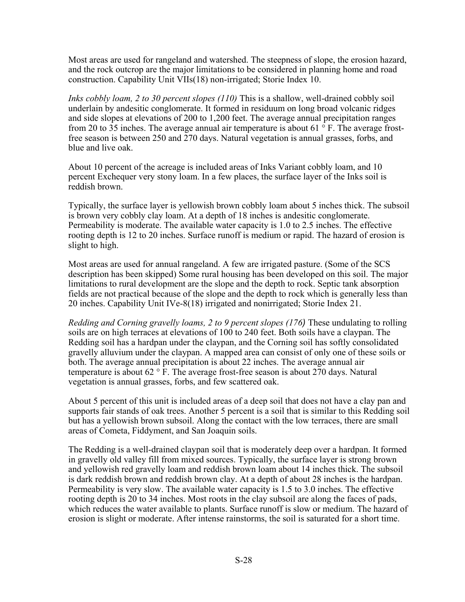Most areas are used for rangeland and watershed. The steepness of slope, the erosion hazard, and the rock outcrop are the major limitations to be considered in planning home and road construction. Capability Unit VIIs(18) non-irrigated; Storie Index 10.

*Inks cobbly loam, 2 to 30 percent slopes (110)* This is a shallow, well-drained cobbly soil underlain by andesitic conglomerate. It formed in residuum on long broad volcanic ridges and side slopes at elevations of 200 to 1,200 feet. The average annual precipitation ranges from 20 to 35 inches. The average annual air temperature is about 61  $\degree$  F. The average frostfree season is between 250 and 270 days. Natural vegetation is annual grasses, forbs, and blue and live oak.

About 10 percent of the acreage is included areas of Inks Variant cobbly loam, and 10 percent Exchequer very stony loam. In a few places, the surface layer of the Inks soil is reddish brown.

Typically, the surface layer is yellowish brown cobbly loam about 5 inches thick. The subsoil is brown very cobbly clay loam. At a depth of 18 inches is andesitic conglomerate. Permeability is moderate. The available water capacity is 1.0 to 2.5 inches. The effective rooting depth is 12 to 20 inches. Surface runoff is medium or rapid. The hazard of erosion is slight to high.

Most areas are used for annual rangeland. A few are irrigated pasture. (Some of the SCS description has been skipped) Some rural housing has been developed on this soil. The major limitations to rural development are the slope and the depth to rock. Septic tank absorption fields are not practical because of the slope and the depth to rock which is generally less than 20 inches. Capability Unit IVe-8(18) irrigated and nonirrigated; Storie Index 21.

*Redding and Corning gravelly loams, 2 to 9 percent slopes (176)* These undulating to rolling soils are on high terraces at elevations of 100 to 240 feet. Both soils have a claypan. The Redding soil has a hardpan under the claypan, and the Corning soil has softly consolidated gravelly alluvium under the claypan. A mapped area can consist of only one of these soils or both. The average annual precipitation is about 22 inches. The average annual air temperature is about 62 ° F. The average frost-free season is about 270 days. Natural vegetation is annual grasses, forbs, and few scattered oak.

About 5 percent of this unit is included areas of a deep soil that does not have a clay pan and supports fair stands of oak trees. Another 5 percent is a soil that is similar to this Redding soil but has a yellowish brown subsoil. Along the contact with the low terraces, there are small areas of Cometa, Fiddyment, and San Joaquin soils.

The Redding is a well-drained claypan soil that is moderately deep over a hardpan. It formed in gravelly old valley fill from mixed sources. Typically, the surface layer is strong brown and yellowish red gravelly loam and reddish brown loam about 14 inches thick. The subsoil is dark reddish brown and reddish brown clay. At a depth of about 28 inches is the hardpan. Permeability is very slow. The available water capacity is 1.5 to 3.0 inches. The effective rooting depth is 20 to 34 inches. Most roots in the clay subsoil are along the faces of pads, which reduces the water available to plants. Surface runoff is slow or medium. The hazard of erosion is slight or moderate. After intense rainstorms, the soil is saturated for a short time.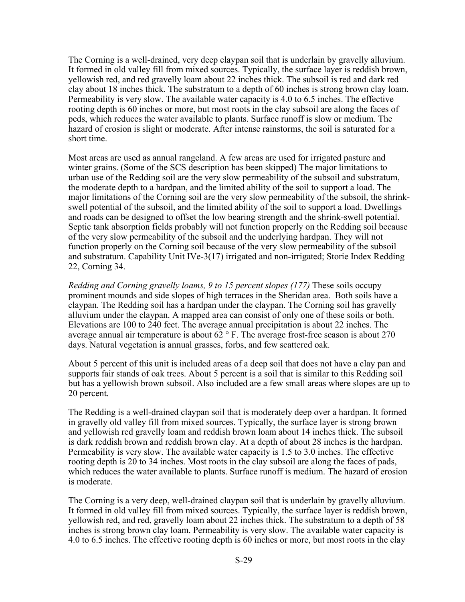The Corning is a well-drained, very deep claypan soil that is underlain by gravelly alluvium. It formed in old valley fill from mixed sources. Typically, the surface layer is reddish brown, yellowish red, and red gravelly loam about 22 inches thick. The subsoil is red and dark red clay about 18 inches thick. The substratum to a depth of 60 inches is strong brown clay loam. Permeability is very slow. The available water capacity is 4.0 to 6.5 inches. The effective rooting depth is 60 inches or more, but most roots in the clay subsoil are along the faces of peds, which reduces the water available to plants. Surface runoff is slow or medium. The hazard of erosion is slight or moderate. After intense rainstorms, the soil is saturated for a short time.

Most areas are used as annual rangeland. A few areas are used for irrigated pasture and winter grains. (Some of the SCS description has been skipped) The major limitations to urban use of the Redding soil are the very slow permeability of the subsoil and substratum, the moderate depth to a hardpan, and the limited ability of the soil to support a load. The major limitations of the Corning soil are the very slow permeability of the subsoil, the shrinkswell potential of the subsoil, and the limited ability of the soil to support a load. Dwellings and roads can be designed to offset the low bearing strength and the shrink-swell potential. Septic tank absorption fields probably will not function properly on the Redding soil because of the very slow permeability of the subsoil and the underlying hardpan. They will not function properly on the Corning soil because of the very slow permeability of the subsoil and substratum. Capability Unit IVe-3(17) irrigated and non-irrigated; Storie Index Redding 22, Corning 34.

*Redding and Corning gravelly loams, 9 to 15 percent slopes (177)* These soils occupy prominent mounds and side slopes of high terraces in the Sheridan area. Both soils have a claypan. The Redding soil has a hardpan under the claypan. The Corning soil has gravelly alluvium under the claypan. A mapped area can consist of only one of these soils or both. Elevations are 100 to 240 feet. The average annual precipitation is about 22 inches. The average annual air temperature is about  $62^\circ$  F. The average frost-free season is about 270 days. Natural vegetation is annual grasses, forbs, and few scattered oak.

About 5 percent of this unit is included areas of a deep soil that does not have a clay pan and supports fair stands of oak trees. About 5 percent is a soil that is similar to this Redding soil but has a yellowish brown subsoil. Also included are a few small areas where slopes are up to 20 percent.

The Redding is a well-drained claypan soil that is moderately deep over a hardpan. It formed in gravelly old valley fill from mixed sources. Typically, the surface layer is strong brown and yellowish red gravelly loam and reddish brown loam about 14 inches thick. The subsoil is dark reddish brown and reddish brown clay. At a depth of about 28 inches is the hardpan. Permeability is very slow. The available water capacity is 1.5 to 3.0 inches. The effective rooting depth is 20 to 34 inches. Most roots in the clay subsoil are along the faces of pads, which reduces the water available to plants. Surface runoff is medium. The hazard of erosion is moderate.

The Corning is a very deep, well-drained claypan soil that is underlain by gravelly alluvium. It formed in old valley fill from mixed sources. Typically, the surface layer is reddish brown, yellowish red, and red, gravelly loam about 22 inches thick. The substratum to a depth of 58 inches is strong brown clay loam. Permeability is very slow. The available water capacity is 4.0 to 6.5 inches. The effective rooting depth is 60 inches or more, but most roots in the clay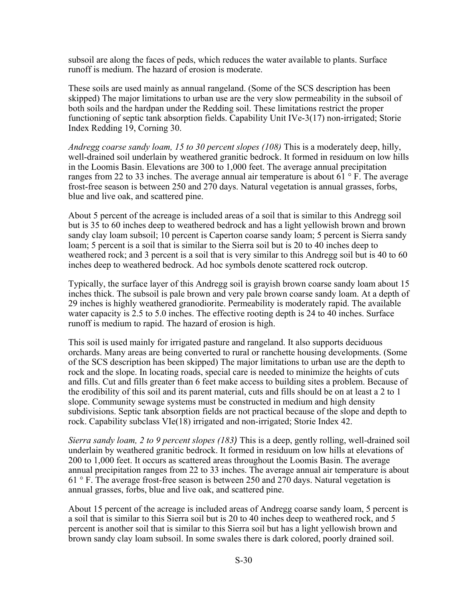subsoil are along the faces of peds, which reduces the water available to plants. Surface runoff is medium. The hazard of erosion is moderate.

These soils are used mainly as annual rangeland. (Some of the SCS description has been skipped) The major limitations to urban use are the very slow permeability in the subsoil of both soils and the hardpan under the Redding soil. These limitations restrict the proper functioning of septic tank absorption fields. Capability Unit IVe-3(17) non-irrigated; Storie Index Redding 19, Corning 30.

*Andregg coarse sandy loam, 15 to 30 percent slopes (108)* This is a moderately deep, hilly, well-drained soil underlain by weathered granitic bedrock. It formed in residuum on low hills in the Loomis Basin. Elevations are 300 to 1,000 feet. The average annual precipitation ranges from 22 to 33 inches. The average annual air temperature is about  $61^\circ$  F. The average frost-free season is between 250 and 270 days. Natural vegetation is annual grasses, forbs, blue and live oak, and scattered pine.

About 5 percent of the acreage is included areas of a soil that is similar to this Andregg soil but is 35 to 60 inches deep to weathered bedrock and has a light yellowish brown and brown sandy clay loam subsoil; 10 percent is Caperton coarse sandy loam; 5 percent is Sierra sandy loam; 5 percent is a soil that is similar to the Sierra soil but is 20 to 40 inches deep to weathered rock; and 3 percent is a soil that is very similar to this Andregg soil but is 40 to 60 inches deep to weathered bedrock. Ad hoc symbols denote scattered rock outcrop.

Typically, the surface layer of this Andregg soil is grayish brown coarse sandy loam about 15 inches thick. The subsoil is pale brown and very pale brown coarse sandy loam. At a depth of 29 inches is highly weathered granodiorite. Permeability is moderately rapid. The available water capacity is 2.5 to 5.0 inches. The effective rooting depth is 24 to 40 inches. Surface runoff is medium to rapid. The hazard of erosion is high.

This soil is used mainly for irrigated pasture and rangeland. It also supports deciduous orchards. Many areas are being converted to rural or ranchette housing developments. (Some of the SCS description has been skipped) The major limitations to urban use are the depth to rock and the slope. In locating roads, special care is needed to minimize the heights of cuts and fills. Cut and fills greater than 6 feet make access to building sites a problem. Because of the erodibility of this soil and its parent material, cuts and fills should be on at least a 2 to 1 slope. Community sewage systems must be constructed in medium and high density subdivisions. Septic tank absorption fields are not practical because of the slope and depth to rock. Capability subclass VIe(18) irrigated and non-irrigated; Storie Index 42.

*Sierra sandy loam, 2 to 9 percent slopes (183)* This is a deep, gently rolling, well-drained soil underlain by weathered granitic bedrock. It formed in residuum on low hills at elevations of 200 to 1,000 feet. It occurs as scattered areas throughout the Loomis Basin. The average annual precipitation ranges from 22 to 33 inches. The average annual air temperature is about 61 ° F. The average frost-free season is between 250 and 270 days. Natural vegetation is annual grasses, forbs, blue and live oak, and scattered pine.

About 15 percent of the acreage is included areas of Andregg coarse sandy loam, 5 percent is a soil that is similar to this Sierra soil but is 20 to 40 inches deep to weathered rock, and 5 percent is another soil that is similar to this Sierra soil but has a light yellowish brown and brown sandy clay loam subsoil. In some swales there is dark colored, poorly drained soil.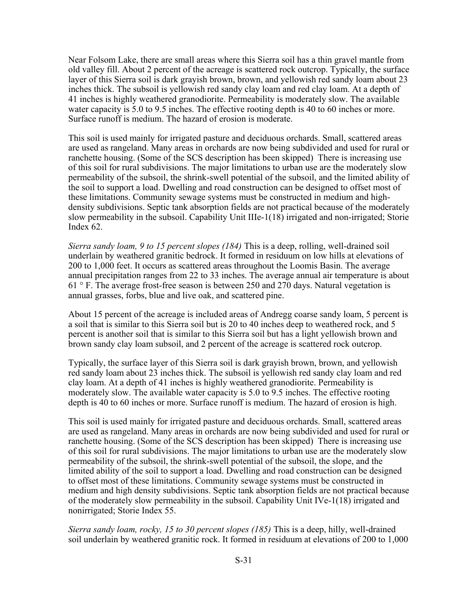Near Folsom Lake, there are small areas where this Sierra soil has a thin gravel mantle from old valley fill. About 2 percent of the acreage is scattered rock outcrop. Typically, the surface layer of this Sierra soil is dark grayish brown, brown, and yellowish red sandy loam about 23 inches thick. The subsoil is yellowish red sandy clay loam and red clay loam. At a depth of 41 inches is highly weathered granodiorite. Permeability is moderately slow. The available water capacity is 5.0 to 9.5 inches. The effective rooting depth is 40 to 60 inches or more. Surface runoff is medium. The hazard of erosion is moderate.

This soil is used mainly for irrigated pasture and deciduous orchards. Small, scattered areas are used as rangeland. Many areas in orchards are now being subdivided and used for rural or ranchette housing. (Some of the SCS description has been skipped) There is increasing use of this soil for rural subdivisions. The major limitations to urban use are the moderately slow permeability of the subsoil, the shrink-swell potential of the subsoil, and the limited ability of the soil to support a load. Dwelling and road construction can be designed to offset most of these limitations. Community sewage systems must be constructed in medium and highdensity subdivisions. Septic tank absorption fields are not practical because of the moderately slow permeability in the subsoil. Capability Unit IIIe-1(18) irrigated and non-irrigated; Storie Index 62.

*Sierra sandy loam, 9 to 15 percent slopes (184)* This is a deep, rolling, well-drained soil underlain by weathered granitic bedrock. It formed in residuum on low hills at elevations of 200 to 1,000 feet. It occurs as scattered areas throughout the Loomis Basin. The average annual precipitation ranges from 22 to 33 inches. The average annual air temperature is about 61 ° F. The average frost-free season is between 250 and 270 days. Natural vegetation is annual grasses, forbs, blue and live oak, and scattered pine.

About 15 percent of the acreage is included areas of Andregg coarse sandy loam, 5 percent is a soil that is similar to this Sierra soil but is 20 to 40 inches deep to weathered rock, and 5 percent is another soil that is similar to this Sierra soil but has a light yellowish brown and brown sandy clay loam subsoil, and 2 percent of the acreage is scattered rock outcrop.

Typically, the surface layer of this Sierra soil is dark grayish brown, brown, and yellowish red sandy loam about 23 inches thick. The subsoil is yellowish red sandy clay loam and red clay loam. At a depth of 41 inches is highly weathered granodiorite. Permeability is moderately slow. The available water capacity is 5.0 to 9.5 inches. The effective rooting depth is 40 to 60 inches or more. Surface runoff is medium. The hazard of erosion is high.

This soil is used mainly for irrigated pasture and deciduous orchards. Small, scattered areas are used as rangeland. Many areas in orchards are now being subdivided and used for rural or ranchette housing. (Some of the SCS description has been skipped) There is increasing use of this soil for rural subdivisions. The major limitations to urban use are the moderately slow permeability of the subsoil, the shrink-swell potential of the subsoil, the slope, and the limited ability of the soil to support a load. Dwelling and road construction can be designed to offset most of these limitations. Community sewage systems must be constructed in medium and high density subdivisions. Septic tank absorption fields are not practical because of the moderately slow permeability in the subsoil. Capability Unit IVe-1(18) irrigated and nonirrigated; Storie Index 55.

*Sierra sandy loam, rocky, 15 to 30 percent slopes (185)* This is a deep, hilly, well-drained soil underlain by weathered granitic rock. It formed in residuum at elevations of 200 to 1,000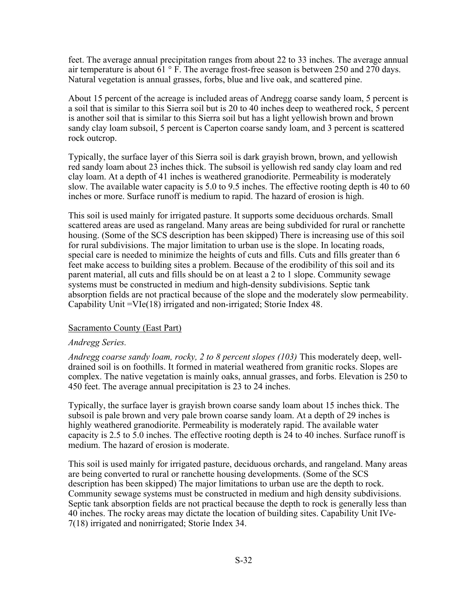feet. The average annual precipitation ranges from about 22 to 33 inches. The average annual air temperature is about  $61^\circ$  F. The average frost-free season is between 250 and 270 days. Natural vegetation is annual grasses, forbs, blue and live oak, and scattered pine.

About 15 percent of the acreage is included areas of Andregg coarse sandy loam, 5 percent is a soil that is similar to this Sierra soil but is 20 to 40 inches deep to weathered rock, 5 percent is another soil that is similar to this Sierra soil but has a light yellowish brown and brown sandy clay loam subsoil, 5 percent is Caperton coarse sandy loam, and 3 percent is scattered rock outcrop.

Typically, the surface layer of this Sierra soil is dark grayish brown, brown, and yellowish red sandy loam about 23 inches thick. The subsoil is yellowish red sandy clay loam and red clay loam. At a depth of 41 inches is weathered granodiorite. Permeability is moderately slow. The available water capacity is 5.0 to 9.5 inches. The effective rooting depth is 40 to 60 inches or more. Surface runoff is medium to rapid. The hazard of erosion is high.

This soil is used mainly for irrigated pasture. It supports some deciduous orchards. Small scattered areas are used as rangeland. Many areas are being subdivided for rural or ranchette housing. (Some of the SCS description has been skipped) There is increasing use of this soil for rural subdivisions. The major limitation to urban use is the slope. In locating roads, special care is needed to minimize the heights of cuts and fills. Cuts and fills greater than 6 feet make access to building sites a problem. Because of the erodibility of this soil and its parent material, all cuts and fills should be on at least a 2 to 1 slope. Community sewage systems must be constructed in medium and high-density subdivisions. Septic tank absorption fields are not practical because of the slope and the moderately slow permeability. Capability Unit =VIe(18) irrigated and non-irrigated; Storie Index 48.

## Sacramento County (East Part)

### *Andregg Series.*

*Andregg coarse sandy loam, rocky, 2 to 8 percent slopes (103)* This moderately deep, welldrained soil is on foothills. It formed in material weathered from granitic rocks. Slopes are complex. The native vegetation is mainly oaks, annual grasses, and forbs. Elevation is 250 to 450 feet. The average annual precipitation is 23 to 24 inches.

Typically, the surface layer is grayish brown coarse sandy loam about 15 inches thick. The subsoil is pale brown and very pale brown coarse sandy loam. At a depth of 29 inches is highly weathered granodiorite. Permeability is moderately rapid. The available water capacity is 2.5 to 5.0 inches. The effective rooting depth is 24 to 40 inches. Surface runoff is medium. The hazard of erosion is moderate.

This soil is used mainly for irrigated pasture, deciduous orchards, and rangeland. Many areas are being converted to rural or ranchette housing developments. (Some of the SCS description has been skipped) The major limitations to urban use are the depth to rock. Community sewage systems must be constructed in medium and high density subdivisions. Septic tank absorption fields are not practical because the depth to rock is generally less than 40 inches. The rocky areas may dictate the location of building sites. Capability Unit IVe-7(18) irrigated and nonirrigated; Storie Index 34.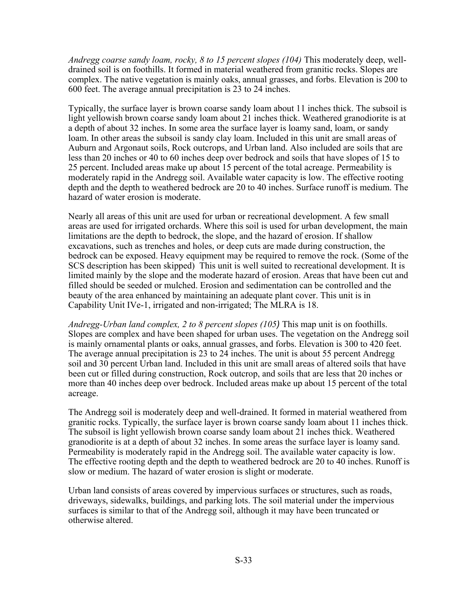*Andregg coarse sandy loam, rocky, 8 to 15 percent slopes (104)* This moderately deep, welldrained soil is on foothills. It formed in material weathered from granitic rocks. Slopes are complex. The native vegetation is mainly oaks, annual grasses, and forbs. Elevation is 200 to 600 feet. The average annual precipitation is 23 to 24 inches.

Typically, the surface layer is brown coarse sandy loam about 11 inches thick. The subsoil is light yellowish brown coarse sandy loam about 21 inches thick. Weathered granodiorite is at a depth of about 32 inches. In some area the surface layer is loamy sand, loam, or sandy loam. In other areas the subsoil is sandy clay loam. Included in this unit are small areas of Auburn and Argonaut soils, Rock outcrops, and Urban land. Also included are soils that are less than 20 inches or 40 to 60 inches deep over bedrock and soils that have slopes of 15 to 25 percent. Included areas make up about 15 percent of the total acreage. Permeability is moderately rapid in the Andregg soil. Available water capacity is low. The effective rooting depth and the depth to weathered bedrock are 20 to 40 inches. Surface runoff is medium. The hazard of water erosion is moderate.

Nearly all areas of this unit are used for urban or recreational development. A few small areas are used for irrigated orchards. Where this soil is used for urban development, the main limitations are the depth to bedrock, the slope, and the hazard of erosion. If shallow excavations, such as trenches and holes, or deep cuts are made during construction, the bedrock can be exposed. Heavy equipment may be required to remove the rock. (Some of the SCS description has been skipped) This unit is well suited to recreational development. It is limited mainly by the slope and the moderate hazard of erosion. Areas that have been cut and filled should be seeded or mulched. Erosion and sedimentation can be controlled and the beauty of the area enhanced by maintaining an adequate plant cover. This unit is in Capability Unit IVe-1, irrigated and non-irrigated; The MLRA is 18.

*Andregg-Urban land complex, 2 to 8 percent slopes (105)* This map unit is on foothills. Slopes are complex and have been shaped for urban uses. The vegetation on the Andregg soil is mainly ornamental plants or oaks, annual grasses, and forbs. Elevation is 300 to 420 feet. The average annual precipitation is 23 to 24 inches. The unit is about 55 percent Andregg soil and 30 percent Urban land. Included in this unit are small areas of altered soils that have been cut or filled during construction, Rock outcrop, and soils that are less that 20 inches or more than 40 inches deep over bedrock. Included areas make up about 15 percent of the total acreage.

The Andregg soil is moderately deep and well-drained. It formed in material weathered from granitic rocks. Typically, the surface layer is brown coarse sandy loam about 11 inches thick. The subsoil is light yellowish brown coarse sandy loam about 21 inches thick. Weathered granodiorite is at a depth of about 32 inches. In some areas the surface layer is loamy sand. Permeability is moderately rapid in the Andregg soil. The available water capacity is low. The effective rooting depth and the depth to weathered bedrock are 20 to 40 inches. Runoff is slow or medium. The hazard of water erosion is slight or moderate.

Urban land consists of areas covered by impervious surfaces or structures, such as roads, driveways, sidewalks, buildings, and parking lots. The soil material under the impervious surfaces is similar to that of the Andregg soil, although it may have been truncated or otherwise altered.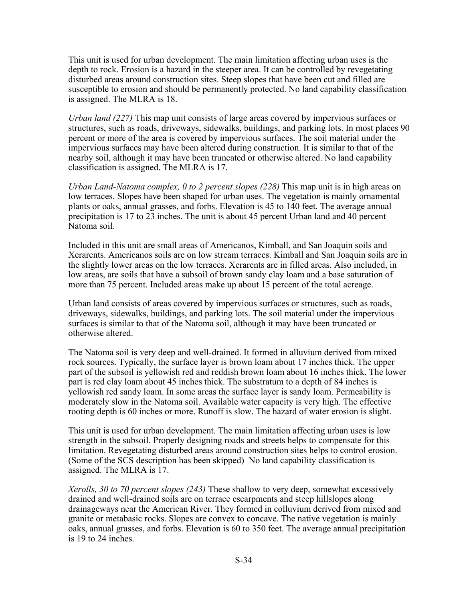This unit is used for urban development. The main limitation affecting urban uses is the depth to rock. Erosion is a hazard in the steeper area. It can be controlled by revegetating disturbed areas around construction sites. Steep slopes that have been cut and filled are susceptible to erosion and should be permanently protected. No land capability classification is assigned. The MLRA is 18.

*Urban land (227)* This map unit consists of large areas covered by impervious surfaces or structures, such as roads, driveways, sidewalks, buildings, and parking lots. In most places 90 percent or more of the area is covered by impervious surfaces. The soil material under the impervious surfaces may have been altered during construction. It is similar to that of the nearby soil, although it may have been truncated or otherwise altered. No land capability classification is assigned. The MLRA is 17.

*Urban Land-Natoma complex, 0 to 2 percent slopes (228)* This map unit is in high areas on low terraces. Slopes have been shaped for urban uses. The vegetation is mainly ornamental plants or oaks, annual grasses, and forbs. Elevation is 45 to 140 feet. The average annual precipitation is 17 to 23 inches. The unit is about 45 percent Urban land and 40 percent Natoma soil.

Included in this unit are small areas of Americanos, Kimball, and San Joaquin soils and Xerarents. Americanos soils are on low stream terraces. Kimball and San Joaquin soils are in the slightly lower areas on the low terraces. Xerarents are in filled areas. Also included, in low areas, are soils that have a subsoil of brown sandy clay loam and a base saturation of more than 75 percent. Included areas make up about 15 percent of the total acreage.

Urban land consists of areas covered by impervious surfaces or structures, such as roads, driveways, sidewalks, buildings, and parking lots. The soil material under the impervious surfaces is similar to that of the Natoma soil, although it may have been truncated or otherwise altered.

The Natoma soil is very deep and well-drained. It formed in alluvium derived from mixed rock sources. Typically, the surface layer is brown loam about 17 inches thick. The upper part of the subsoil is yellowish red and reddish brown loam about 16 inches thick. The lower part is red clay loam about 45 inches thick. The substratum to a depth of 84 inches is yellowish red sandy loam. In some areas the surface layer is sandy loam. Permeability is moderately slow in the Natoma soil. Available water capacity is very high. The effective rooting depth is 60 inches or more. Runoff is slow. The hazard of water erosion is slight.

This unit is used for urban development. The main limitation affecting urban uses is low strength in the subsoil. Properly designing roads and streets helps to compensate for this limitation. Revegetating disturbed areas around construction sites helps to control erosion. (Some of the SCS description has been skipped) No land capability classification is assigned. The MLRA is 17.

*Xerolls, 30 to 70 percent slopes (243)* These shallow to very deep, somewhat excessively drained and well-drained soils are on terrace escarpments and steep hillslopes along drainageways near the American River. They formed in colluvium derived from mixed and granite or metabasic rocks. Slopes are convex to concave. The native vegetation is mainly oaks, annual grasses, and forbs. Elevation is 60 to 350 feet. The average annual precipitation is 19 to 24 inches.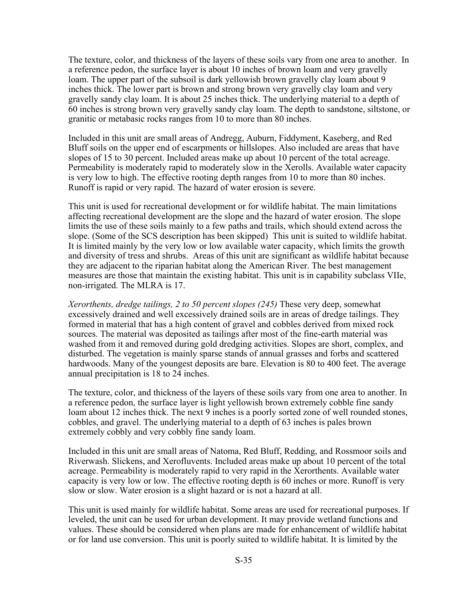The texture, color, and thickness of the layers of these soils vary from one area to another. In a reference pedon, the surface layer is about 10 inches of brown loam and very gravelly loam. The upper part of the subsoil is dark yellowish brown gravelly clay loam about 9 inches thick. The lower part is brown and strong brown very gravelly clay loam and very gravelly sandy clay loam. It is about 25 inches thick. The underlying material to a depth of 60 inches is strong brown very gravelly sandy clay loam. The depth to sandstone, siltstone, or granitic or metabasic rocks ranges from 10 to more than 80 inches.

Included in this unit are small areas of Andregg, Auburn, Fiddyment, Kaseberg, and Red Bluff soils on the upper end of escarpments or hillslopes. Also included are areas that have slopes of 15 to 30 percent. Included areas make up about 10 percent of the total acreage. Permeability is moderately rapid to moderately slow in the Xerolls. Available water capacity is very low to high. The effective rooting depth ranges from 10 to more than 80 inches. Runoff is rapid or very rapid. The hazard of water erosion is severe.

This unit is used for recreational development or for wildlife habitat. The main limitations affecting recreational development are the slope and the hazard of water erosion. The slope limits the use of these soils mainly to a few paths and trails, which should extend across the slope. (Some of the SCS description has been skipped) This unit is suited to wildlife habitat. It is limited mainly by the very low or low available water capacity, which limits the growth and diversity of tress and shrubs. Areas of this unit are significant as wildlife habitat because they are adjacent to the riparian habitat along the American River. The best management measures are those that maintain the existing habitat. This unit is in capability subclass VIIe, non-irrigated. The MLRA is 17.

*Xerorthents, dredge tailings, 2 to 50 percent slopes (245)* These very deep, somewhat excessively drained and well excessively drained soils are in areas of dredge tailings. They formed in material that has a high content of gravel and cobbles derived from mixed rock sources. The material was deposited as tailings after most of the fine-earth material was washed from it and removed during gold dredging activities. Slopes are short, complex, and disturbed. The vegetation is mainly sparse stands of annual grasses and forbs and scattered hardwoods. Many of the youngest deposits are bare. Elevation is 80 to 400 feet. The average annual precipitation is 18 to 24 inches.

The texture, color, and thickness of the layers of these soils vary from one area to another. In a reference pedon, the surface layer is light yellowish brown extremely cobble fine sandy loam about 12 inches thick. The next 9 inches is a poorly sorted zone of well rounded stones, cobbles, and gravel. The underlying material to a depth of 63 inches is pales brown extremely cobbly and very cobbly fine sandy loam.

Included in this unit are small areas of Natoma, Red Bluff, Redding, and Rossmoor soils and Riverwash. Slickens, and Xerofluvents. Included areas make up about 10 percent of the total acreage. Permeability is moderately rapid to very rapid in the Xerorthents. Available water capacity is very low or low. The effective rooting depth is 60 inches or more. Runoff is very slow or slow. Water erosion is a slight hazard or is not a hazard at all.

This unit is used mainly for wildlife habitat. Some areas are used for recreational purposes. If leveled, the unit can be used for urban development. It may provide wetland functions and values. These should be considered when plans are made for enhancement of wildlife habitat or for land use conversion. This unit is poorly suited to wildlife habitat. It is limited by the